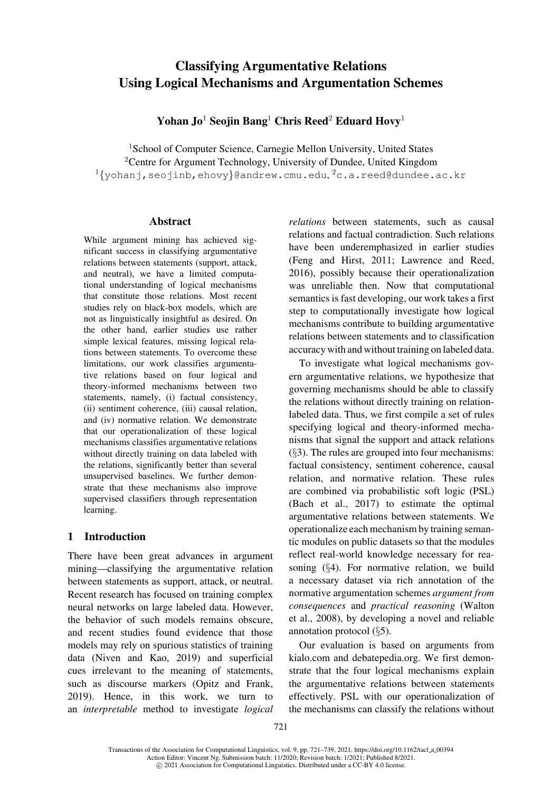# Classifying Argumentative Relations Using Logical Mechanisms and Argumentation Schemes

Yohan Jo<sup>1</sup> Seojin Bang<sup>1</sup> Chris Reed<sup>2</sup> Eduard Hovy<sup>1</sup>

<sup>1</sup>School of Computer Science, Carnegie Mellon University, United States <sup>2</sup> Centre for Argument Technology, University of Dundee, United Kingdom  $1$ {yohanj,seojinb,ehovy}@andrew.cmu.edu, $2c.a.$ reed@dundee.ac.kr

#### [Abstract](mailto:seojinb@andrew.cmu.edu)

While argument mining has achieved significant success in classifying argumentative relations between statements (support, attack, and neutral), we have a limited computational understanding of logical mechanisms that constitute those relations. Most recent studies rely on black-box models, which are not as linguistically insightful as desired. On the other hand, earlier studies use rather simple lexical features, missing logical relations between statements. To overcome these limitations, our work classifies argumentative relations based on four logical and theory-informed mechanisms between two statements, namely, (i) factual consistency, (ii) sentiment coherence, (iii) causal relation, and (iv) normative relation. We demonstrate that our operationalization of these logical mechanisms classifies argumentative relations without directly training on data labeled with the relations, significantly better than several unsupervised baselines. We further demonstrate that these mechanisms also improve supervised classifiers through representation learning.

### 1 Introduction

There have been great advances in argument mining—classifying the argumentative relation between statements as support, attack, or neutral. Recent research has focused on training complex neural networks on large labeled data. However, the behavior of such models remains obscure, and recent studies found evidence that those models may rely on spurious statistics of training data (Niven and Kao, 2019) and superficial cues irrelevant to the meaning of statements, such as discourse markers (Opitz and Frank, 2019)[. Hence, in th](#page-16-0)is work, we turn to an *interpretable* method [to](#page-16-0) [in](#page-16-0)vestigate *logical* *relations* [between statements, such as](mailto:c.a.reed@dundee.ac.kr) causal relations and factual contradiction. Such relations have been underemphasized in earlier studies (Feng and Hirst, 2011; Lawrence and Reed, 2016), possibly because their operationalization was unreliable then. Now that computational semantics is fast developing, our work takes a first [step](#page-15-0) [to](#page-15-0) [computati](#page-15-0)o[nally](#page-15-0) i[nvestigate](#page-16-1) [how](#page-16-1) [logical](#page-16-1) [mech](#page-16-1)anisms contribute to building argumentative relations between statements and to classification accuracy with and without training on labeled data.

To investigate what logical mechanisms govern argumentative relations, we hypothesize that governing mechanisms should be able to classify the relations without directly training on relationlabeled data. Thus, we first compile a set of rules specifying logical and theory-informed mechanisms that signal the support and attack relations (§3). The rules are grouped into four mechanisms: factual consistency, sentiment coherence, causal relation, and normative relation. These rules are combined via probabilistic soft logic (PSL) ([Ba](#page-2-0)ch et al., 2017) to estimate the optimal argumentative relations between statements. We operationalize each mechanism by training semantic modules on public datasets so that the modules [reflect](#page-14-0) [real-w](#page-14-0)o[rld](#page-14-0) [kn](#page-14-0)owledge necessary for reasoning (§4). For normative relation, we build a necessary dataset via rich annotation of the normative argumentation schemes *argument from consequences* and *practical reasoning* (Walton et al., 20[08](#page-5-0)), by developing a novel and reliable annotation protocol (§5).

Our evaluation is based on arguments from kialo.[com a](#page-17-1)nd debatepedia.org. We first [demon](#page-17-0)[strate](#page-17-0) that the four logical mechanisms explain the argumentative re[lat](#page-6-0)ions between statements effectively. PSL with our operationalization of the mechanisms can classify the relations without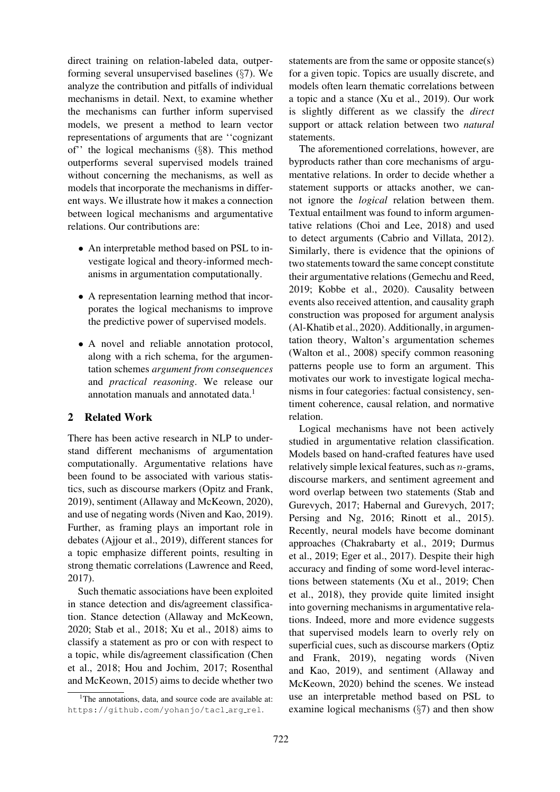direct training on relation-labeled data, outperforming several unsupervised baselines (§7). We analyze the contribution and pitfalls of individual mechanisms in detail. Next, to examine whether the mechanisms can further inform supervised models, we present a method to learn [v](#page-9-0)ector representations of arguments that are ''cognizant of'' the logical mechanisms (§8). This method outperforms several supervised models trained without concerning the mechanisms, as well as models that incorporate the mechanisms in different ways. We illustrate how it m[ak](#page-11-0)es a connection between logical mechanisms and argumentative relations. Our contributions are:

- An interpretable method based on PSL to investigate logical and theory-informed mechanisms in argumentation computationally.
- A representation learning method that incorporates the logical mechanisms to improve the predictive power of supervised models.
- A novel and reliable annotation protocol, along with a rich schema, for the argumentation schemes *argument from consequences* and *practical reasoning*. We release our annotation manuals and annotated data.<sup>1</sup>

### 2 Related Work

There has been active research in NLP to [un](#page-1-0)derstand different mechanisms of argumentation computationally. Argumentative relations have been found to be associated with various statistics, such as discourse markers (Opitz and Frank, 2019), sentiment (Allaway and McKeown, 2020), and use of negating words (Niven and Kao, 2019). Further, as framing plays an important role in debates (Ajjour et al., 2019), di[fferent](#page-16-2) [stances](#page-16-2) [for](#page-16-2) [a](#page-16-2) [top](#page-16-2)ic emphasiz[e](#page-14-1) [different](#page-14-1) [points,](#page-14-1) [resulting](#page-14-1) [i](#page-14-1)n strong thematic correlatio[ns](#page-16-0) [\(Lawrence](#page-16-0) [and](#page-16-0) [Reed](#page-16-0), 2017).

Such t[hematic](#page-14-2) [association](#page-14-2)s have been exploited in stance detection and dis/[agreement classifica](#page-16-3)[tion.](#page-16-3) Stance detection (Allaway and McKeown, 2020; Stab et al., 2018; Xu et al., 2018) aims to classify a statement as pro or con with respect to a topic, while dis/agreement classification (Chen et al., 2018; Hou and [Jochim,](#page-14-1) [2017;](#page-14-1) [Rosenthal](#page-14-1) [and](#page-14-1) [M](#page-14-1)[cKeown,](#page-17-2) [2015\)](#page-17-2) [a](#page-17-2)i[ms](#page-18-0) [to](#page-18-0) [decide](#page-18-0) [whe](#page-18-0)ther two statements are from the same or opposite stance(s) for a given topic. Topics are usually discrete, and models often learn thematic correlations between a topic and a stance (Xu et al., 2019). Our work is slightly different as we classify the *direct* support or attack relation between two *natural* statements.

The aforementione[d](#page-18-1) [correlat](#page-18-1)i[ons,](#page-18-1) [h](#page-18-1)owever, are byproducts rather than core mechanisms of argumentative relations. In order to decide whether a statement supports or attacks another, we cannot ignore the *logical* relation between them. Textual entailment was found to inform argumentative relations (Choi and Lee, 2018) and used to detect arguments (Cabrio and Villata, 2012). Similarly, there is evidence that the opinions of two statements t[oward the same](#page-15-2) c[oncep](#page-15-2)t constitute their argumentative re[lations \(Gemechu and Reed](#page-15-3), 2019; Kobbe et al., 2020). Causality between events also received attention, and causality graph construction was proposed for argument analysis (Al-Khatib et al., 2020). Addi[tionally,](#page-15-4) [in](#page-15-4) [argumen](#page-15-4)[tation](#page-15-4) [theory,](#page-16-5) [Walton's](#page-16-5) [arg](#page-16-5)umentation schemes (Walton et al., 2008) specify common reasoning patterns people use to form an argument. This [motivates](#page-14-3) [our](#page-14-3) [work](#page-14-3) [to](#page-14-3) investigate logical mecha[nisms in four categor](#page-17-1)ies: factual consistency, sentiment coherence, causal relation, and normative relation.

Logical mechanisms have not been actively studied in argumentative relation classification. Models based on hand-crafted features have used relatively simple lexical features, such as  $n$ -grams, discourse markers, and sentiment agreement and word overlap between two statements (Stab and Gurevych, 2017; Habernal and Gurevych, 2017; Persing and Ng, 2016; Rinott et al., 2015). Recently, neural models have become dominant approaches (Chakrabarty et al., 2019; [Durmus](#page-17-3) [et](#page-17-3) [al.,](#page-17-3) [2019](#page-17-3)[;](#page-17-4) [Ege](#page-17-4)r [et](#page-16-6) [al.,](#page-16-6) [2017\).](#page-16-6) [Despite](#page-16-6) [their](#page-16-6) [high](#page-16-6) [accuracy](#page-16-7) [and](#page-16-7) [find](#page-16-7)i[ng](#page-16-7) [of](#page-16-7) [s](#page-16-7)o[me](#page-17-5) [word-level](#page-17-5) i[nterac](#page-17-5)tions between statements (Xu et al., 2019; Chen et al., 2018)[,](#page-15-5) [they](#page-15-5) [provide](#page-15-5) [quite](#page-15-5) [limite](#page-15-5)[d](#page-15-6) [insight](#page-15-6) [into](#page-15-6) [g](#page-15-6)[overn](#page-15-7)i[ng](#page-15-8) [mechanisms](#page-15-8) [in](#page-15-8) argumentative relations. Indeed, more and [more evidence su](#page-18-1)ggests that s[upervi](#page-15-1)sed models learn to overly re[ly](#page-15-9) [on](#page-15-9) [superf](#page-15-9)icial cues, such as discourse markers (Optiz and Frank, 2019), negating words (Niven and Kao, 2019), and sentiment (Allaway and McKeown, 2020) behind the scenes. We instead use an interpretable method based on P[SL](#page-16-8) [to](#page-16-8) [examine](#page-16-8) [log](#page-16-8)[ical](#page-16-0) [me](#page-16-2)[chanisms](#page-16-0)  $(\S7)$  $(\S7)$  [and then show](#page-14-4)

<span id="page-1-0"></span><sup>&</sup>lt;sup>1</sup>The annotations, data, and source code are available at: http[s://git](#page-15-1)[hub.com/yohanjo/tacl](#page-16-4)\_arg\_rel.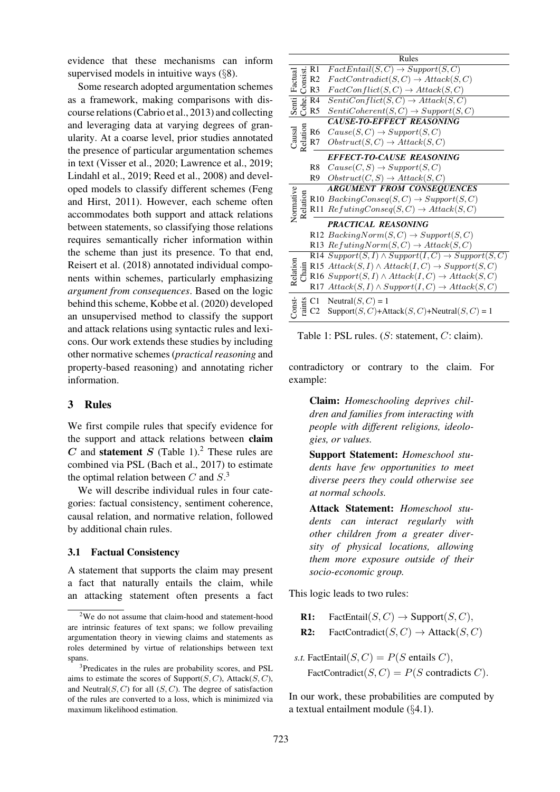evidence that these mechanisms can inform supervised models in intuitive ways (§8).

Some research adopted argumentation schemes as a framework, making comparisons with discourse relations (Cabrio et al., 2013) and collecting and leveraging data at varying degr[ees](#page-11-0) of granularity. At a coarse level, prior studies annotated the presence of particular argumentation schemes in text (Visser e[t](#page-14-5) [al.,](#page-14-5) [2020;](#page-14-5) [Lawren](#page-14-5)ce et al., 2019; Lindahl et al., 2019; Reed et al., 2008) and developed models to classify different schemes (Feng and Hirst, 2011). However, each scheme often accom[modates](#page-17-6) [both](#page-17-6) [supp](#page-17-6)[ort](#page-16-9) [and](#page-16-9) [attack](#page-16-9) [relations](#page-16-9) [between](#page-16-10) [statements,](#page-16-10) [so](#page-16-11) [classifying](#page-16-11) [tho](#page-16-11)se relations requires se[manti](#page-15-0)cally richer information [within](#page-15-10) [the](#page-15-10) [scheme](#page-15-10) than just its presence. To that end, Reisert et al. (2018) annotated individual components within schemes, particularly emphasizing *argument from consequences*. Based on the logic behind this scheme, Kobbe et al. (2020) developed [an](#page-17-7) [unsupervised](#page-17-7) [m](#page-17-7)ethod to classify the support and attack relations using syntactic rules and lexicons. Our work ext[ends these stu](#page-16-5)dies by including other normative schemes (*practi[cal](#page-16-5) [rea](#page-16-5)soning* and property-based reasoning) and annotating richer information.

#### 3 Rules

<span id="page-2-0"></span>We first compile rules that specify evidence for the support and attack relations between claim  $C$  and **statement**  $S$  (Table 1).<sup>2</sup> These rules are combined via PSL (Bach et al., 2017) to estimate the optimal relation between  $C$  and  $S^3$ .

We will describe individual [ru](#page-2-2)les in four categories: factual con[sistency, sentimen](#page-14-0)t coherence, causal relation, and normative relati[on,](#page-2-3) followed by additional chain rules.

#### 3.1 Factual Consistency

A statement that supports the claim may present a fact that naturally entails the claim, while an attacking statement often presents a fact

<span id="page-2-1"></span>

|                    |                                                                                                       | Rules                                                                                                                                                                                                                                                                                                                                                                                                                                                         |
|--------------------|-------------------------------------------------------------------------------------------------------|---------------------------------------------------------------------------------------------------------------------------------------------------------------------------------------------------------------------------------------------------------------------------------------------------------------------------------------------------------------------------------------------------------------------------------------------------------------|
|                    |                                                                                                       | $Fact Entail(S, C) \rightarrow Support(S, C)$                                                                                                                                                                                                                                                                                                                                                                                                                 |
|                    |                                                                                                       | $FactContract(S, C) \rightarrow Attack(S, C)$                                                                                                                                                                                                                                                                                                                                                                                                                 |
| Senti Factual      | $\begin{array}{c}\n\overrightarrow{BA1} \\ \overrightarrow{BA2} \\ \overrightarrow{BA3}\n\end{array}$ | $FactConflict(S, C) \rightarrow Attack(S, C)$                                                                                                                                                                                                                                                                                                                                                                                                                 |
|                    | $\frac{e}{c^2}$ R <sub>4</sub>                                                                        | $SentiConflict(S, C) \rightarrow Attack(S, C)$                                                                                                                                                                                                                                                                                                                                                                                                                |
|                    |                                                                                                       | $SentiCoherent(S, C) \rightarrow Support(S, C)$                                                                                                                                                                                                                                                                                                                                                                                                               |
|                    |                                                                                                       | <b>CAUSE-TO-EFFECT REASONING</b>                                                                                                                                                                                                                                                                                                                                                                                                                              |
|                    | R6                                                                                                    | $Cause(S,C)\rightarrow Support(S,C)$                                                                                                                                                                                                                                                                                                                                                                                                                          |
| Causal<br>Relation | R7                                                                                                    | $Obstruct(S, C) \rightarrow Attack(S, C)$                                                                                                                                                                                                                                                                                                                                                                                                                     |
|                    |                                                                                                       | <b>EFFECT-TO-CAUSE REASONING</b>                                                                                                                                                                                                                                                                                                                                                                                                                              |
|                    | R8                                                                                                    | $Cause(C, S) \rightarrow Support(S, C)$                                                                                                                                                                                                                                                                                                                                                                                                                       |
|                    | R9                                                                                                    | $Obstruct(C, S) \rightarrow Attack(S, C)$                                                                                                                                                                                                                                                                                                                                                                                                                     |
|                    |                                                                                                       | <b>ARGUMENT FROM CONSEQUENCES</b>                                                                                                                                                                                                                                                                                                                                                                                                                             |
|                    |                                                                                                       |                                                                                                                                                                                                                                                                                                                                                                                                                                                               |
| Normative          |                                                                                                       | $\frac{5}{8}$ R10 BackingConseq(S, C) $\rightarrow$ Support(S, C)<br>$\frac{8}{8}$ R11 RefutingConseq(S, C) $\rightarrow$ Attack(S, C)                                                                                                                                                                                                                                                                                                                        |
|                    |                                                                                                       | <b>PRACTICAL REASONING</b>                                                                                                                                                                                                                                                                                                                                                                                                                                    |
|                    |                                                                                                       | R12 $BackingNorm(S, C) \rightarrow Support(S, C)$                                                                                                                                                                                                                                                                                                                                                                                                             |
|                    |                                                                                                       | R13 $RefutingNorm(S, C) \rightarrow Attack(S, C)$                                                                                                                                                                                                                                                                                                                                                                                                             |
|                    |                                                                                                       | R14 $Support(S, I) \wedge Support(I, C) \rightarrow Support(S, C)$                                                                                                                                                                                                                                                                                                                                                                                            |
| Relation           |                                                                                                       | $\begin{aligned} \text{E} & \to \text{R15 } Attack(S, I) \wedge Attack(I, C) \rightarrow Support(S, C) \end{aligned}$                                                                                                                                                                                                                                                                                                                                         |
|                    |                                                                                                       | $\mathcal{E}$ R16 Support $(S, I) \wedge Attack(I, C) \rightarrow Attack(S, C)$                                                                                                                                                                                                                                                                                                                                                                               |
|                    |                                                                                                       | R17 $Attack(S, I) \land Support(I, C) \rightarrow Attack(S, C)$                                                                                                                                                                                                                                                                                                                                                                                               |
|                    |                                                                                                       | $\begin{array}{c}\n\text{Equation 1:}\n\text{Equation 2:}\n\text{Equation 3:}\n\text{Equation 4:}\n\text{Equation 5:}\n\text{Equation 5:}\n\text{Equation 6:}\n\text{Equation 7:}\n\text{Equation 7:}\n\text{Equation 8:}\n\text{Equation 7:}\n\text{Equation 8:}\n\text{Equation 9:}\n\text{Equation 1:}\n\text{Equation 1:}\n\text{Equation 1:}\n\text{Equation 2:}\n\text{Equation 3:}\n\text{Equation 3:}\n\text{Equation 4:}\n\text{Equation 5:}\n\text$ |
| Const-             |                                                                                                       | Support $(S, C)$ +Attack $(S, C)$ +Neutral $(S, C)$ = 1                                                                                                                                                                                                                                                                                                                                                                                                       |
|                    |                                                                                                       |                                                                                                                                                                                                                                                                                                                                                                                                                                                               |

Table 1: PSL rules. (S: statement, C: claim).

contradictory or contrary to the claim. For example:

Claim: *Homeschooling deprives children and families from interacting with people with different religions, ideologies, or values.*

Support Statement: *Homeschool students have few opportunities to meet diverse peers they could otherwise see at normal schools.*

Attack Statement: *Homeschool students can interact regularly with other children from a greater diversity of physical locations, allowing them more exposure outside of their socio-economic group.*

This logic leads to two rules:

R1: FactEntail $(S, C) \rightarrow$  Support $(S, C)$ ,

R2: FactContradict( $S, C$ )  $\rightarrow$  Attack( $S, C$ )

In our work, these probabilities are computed by a textual entailment module (§4.1).

<sup>2</sup>We do not assume that claim-hood and statement-hood are intrinsic features of text spans; we follow prevailing argumentation theory in viewing claims and statements as roles determined by virtue of relationships between text spans.

<span id="page-2-3"></span><span id="page-2-2"></span><sup>3</sup>Predicates in the rules are probability scores, and PSL aims to estimate the scores of Support( $S, C$ ), Attack( $S, C$ ), and Neutral $(S, C)$  for all  $(S, C)$ . The degree of satisfaction of the rules are converted to a loss, which is minimized via maximum likelihood estimation.

*s.t.* FactEntail $(S, C) = P(S \text{ entails } C),$ FactContradict( $S, C$ ) =  $P(S \text{ contradicts } C)$ .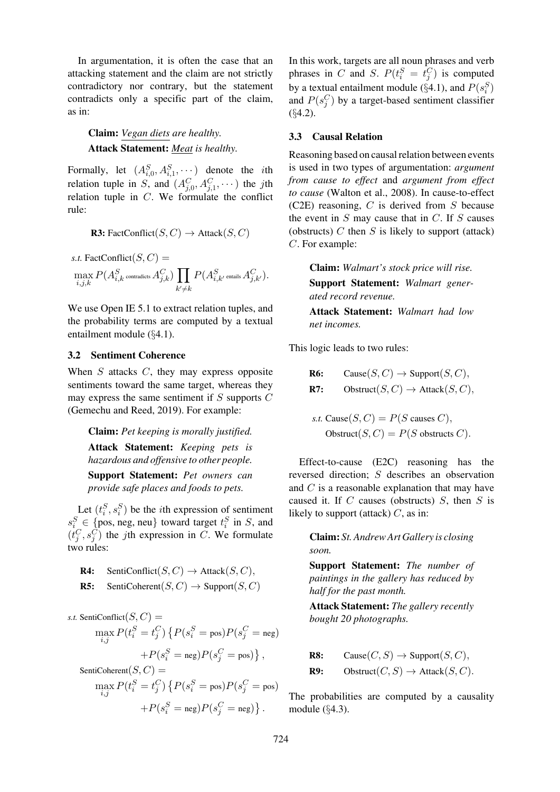In argumentation, it is often the case that an attacking statement and the claim are not strictly contradictory nor contrary, but the statement contradicts only a specific part of the claim, as in:

## Claim: *Vegan diets are healthy.* Attack Statement: *Meat is healthy.*

Formally, let  $(A_{i,0}^S, A_{i,1}^S, \dots)$  denote the *i*th relation tuple in S, and  $(A_{j,0}^C, A_{j,1}^C, \dots)$  the jth relation tuple in C. We formulate the conflict rule:

R3: FactConflict
$$
(S, C)
$$
  $\rightarrow$  Attack $(S, C)$ 

$$
\begin{array}{l} \text{s.t. FactConflict}(S,C) = \\ \max_{i,j,k} P(A_{i,k}^S \text{ contradicts } A_{j,k}^C) \prod_{k' \neq k} P(A_{i,k'}^S \text{ entails } A_{j,k'}^C). \end{array}
$$

We use Open IE 5.1 to extract relation tuples, and the probability terms are computed by a textual entailment module (§4.1).

### 3.2 Sentiment Coherence

When  $S$  attacks  $C$ , they may express opposite sentiments toward t[he](#page-5-1) [sa](#page-5-1)me target, whereas they may express the same sentiment if  $S$  supports  $C$ (Gemechu and Reed, 2019). For example:

Claim: *Pet keeping is morally justified.*

Attack Statement: *Keeping pets is [hazardous](#page-15-4) [and](#page-15-4) [offensi](#page-15-4)ve to other people.*

Support Statement: *Pet owners can provide safe places and foods to pets.*

Let  $(t_i^S, s_i^S)$  be the *i*th expression of sentiment  $s_i^S \in \{\text{pos, neg, neu}\}\)$  toward target  $t_i^S$  in S, and  $(t_j^C, s_j^C)$  the *j*th expression in C. We formulate two rules:

R4: SentiConflict( $S, C$ )  $\rightarrow$  Attack( $S, C$ ), R5: SentiCoherent $(S, C) \rightarrow$  Support $(S, C)$ 

*s.t.* SentiConflict( $S, C$ ) =  $\max_{i,j} P(t_i^S = t_j^C) \left\{ P(s_i^S = \text{pos}) P(s_j^C = \text{neg}) \right.$  $+P(s_i^S = \text{neg})P(s_j^C = \text{pos})\},$ SentiCoherent $(S, C)$  =

> $\max_{i,j} P(t_i^S = t_j^C) \left\{ P(s_i^S = \text{pos}) P(s_j^C = \text{pos}) \right.$  $+P(s_i^S = \text{neg})P(s_j^C = \text{neg})\}$ .

In this work, targets are all noun phrases and verb phrases in C and S.  $P(t_i^S = t_j^C)$  is computed by a textual entailment module (§4.1), and  $P(s_i^S)$ and  $P(s_j^C)$  by a target-based sentiment classifier  $(§4.2).$ 

#### 3.3 Causal Relation

R[easo](#page-5-2)ning based on causal relation between events is used in two types of argumentation: *argument from cause to effect* and *argument from effect to cause* (Walton et al., 2008). In cause-to-effect (C2E) reasoning,  $C$  is derived from  $S$  because the event in  $S$  may cause that in  $C$ . If  $S$  causes (obstructs)  $C$  then  $S$  is [likely](#page-17-1) to support (attack) C. For ex[ample:](#page-17-1)

> Claim: *Walmart's stock price will rise.* Support Statement: *Walmart generated record revenue.*

> Attack Statement: *Walmart had low net incomes.*

This logic leads to two rules:

R6: Cause $(S, C) \rightarrow$  Support $(S, C)$ , R7: Obstruct $(S, C) \rightarrow$  Attack $(S, C)$ ,

s.t. 
$$
\text{Cause}(S, C) = P(S \text{ causes } C),
$$
  
Obstruct $(S, C) = P(S \text{ obstructs } C)$ 

Effect-to-cause (E2C) reasoning has the reversed direction; S describes an observation and  $C$  is a reasonable explanation that may have caused it. If  $C$  causes (obstructs)  $S$ , then  $S$  is likely to support (attack)  $C$ , as in:

Claim: *St. Andrew Art Gallery is closing soon.*

Support Statement: *The number of paintings in the gallery has reduced by half for the past month.*

Attack Statement: *The gallery recently bought 20 photographs.*

R8: Cause $(C, S) \rightarrow$  Support $(S, C)$ , R9: Obstruct $(C, S) \rightarrow$  Attack $(S, C)$ .

The probabilities are computed by a causality module (§4.3).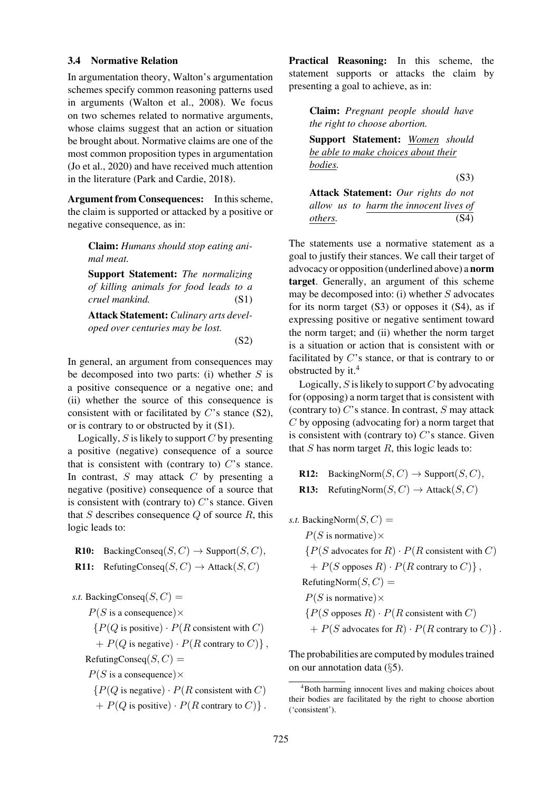#### 3.4 Normative Relation

In argumentation theory, Walton's argumentation schemes specify common reasoning patterns used in arguments (Walton et al., 2008). We focus on two schemes related to normative arguments, whose claims suggest that an action or situation be brought abo[ut. Normative c](#page-17-1)l[aims a](#page-17-1)re one of the most common proposition types in argumentation (Jo et al., 2020) and have received much attention in the literature (Park and Cardie, 2018).

Argument from Consequences: In this scheme, [the claim is sup](#page-16-12)ported or attacked by a positive or negative conseq[uence, as in:](#page-16-13)

Claim: *Humans should stop eating animal meat.*

Support Statement: *The normalizing of killing animals for food leads to a cruel mankind.* (S1)

Attack Statement: *Culinary arts developed over centuries may be lost.*

(S2)

In general, an argument from consequences may be decomposed into two parts: (i) whether  $S$  is a positive consequence or a negative one; and (ii) whether the source of this consequence is consistent with or facilitated by  $C$ 's stance (S2), or is contrary to or obstructed by it (S1).

Logically,  $S$  is likely to support  $C$  by presenting a positive (negative) consequence of a source that is consistent with (contrary to)  $C$ 's stance. In contrast,  $S$  may attack  $C$  by presenting a negative (positive) consequence of a source that is consistent with (contrary to)  $C$ 's stance. Given that  $S$  describes consequence  $Q$  of source  $R$ , this logic leads to:

R10: BackingConseq $(S, C) \rightarrow$  Support $(S, C)$ ,

R11: RefutingConseq $(S, C) \rightarrow$  Attack $(S, C)$ 

*s.t.* BackingConseq $(S, C)$  =

 $P(S \text{ is a consequence}) \times$ 

 ${P(Q \text{ is positive}) \cdot P(R \text{ consistent with } C)}$ 

 $+ P(Q \text{ is negative}) \cdot P(R \text{ contrary to } C) \},$ 

 $RefutingConseq(S, C) =$ 

 $P(S \text{ is a consequence}) \times$ 

 ${P(Q \text{ is negative}) \cdot P(R \text{ consistent with } C)}$ 

 $+ P(Q \text{ is positive}) \cdot P(R \text{ contrary to } C)$ .

Practical Reasoning: In this scheme, the statement supports or attacks the claim by presenting a goal to achieve, as in:

> Claim: *Pregnant people should have the right to choose abortion.*

> Support Statement: *Women should be able to make choices about their bodies.*

> > (S3)

|         |  | <b>Attack Statement:</b> Our rights do not |      |
|---------|--|--------------------------------------------|------|
|         |  | allow us to harm the innocent lives of     |      |
| others. |  |                                            | (S4) |

The statements use a normative statement as a goal to justify their stances. We call their target of advocacy or opposition (underlined above) a norm target. Generally, an argument of this scheme may be decomposed into: (i) whether  $S$  advocates for its norm target  $(S3)$  or opposes it  $(S4)$ , as if expressing positive or negative sentiment toward the norm target; and (ii) whether the norm target is a situation or action that is consistent with or facilitated by  $C$ 's stance, or that is contrary to or obstructed by it.<sup>4</sup>

Logically,  $S$  is likely to support  $C$  by advocating for (opposing) a norm target that is consistent with (contrary to)  $C$ '[s](#page-4-0) stance. In contrast,  $S$  may attack C by opposing (advocating for) a norm target that is consistent with (contrary to)  $C$ 's stance. Given that  $S$  has norm target  $R$ , this logic leads to:

R12: BackingNorm $(S, C) \rightarrow$  Support $(S, C)$ , R13: RefutingNorm $(S, C) \rightarrow$  Attack $(S, C)$ 

*s.t.* BackingNorm $(S, C)$  =

 $P(S \text{ is normative}) \times$ 

 ${P(S \text{ advances for } R) \cdot P(R \text{ consistent with } C)}$ 

 $+ P(S$  opposes  $R) \cdot P(R$  contrary to  $C) \},$ 

 $RefutingNorm(S, C) =$ 

 $P(S \text{ is normative}) \times$ 

 ${P(S \text{ opposes } R) \cdot P(R \text{ consistent with } C)}$ 

 $+ P(S \text{ above} \text{ates for } R) \cdot P(R \text{ contrary to } C)$ .

The probabilities are computed by modules trained on our annotation data (§5).

<span id="page-4-0"></span><sup>4</sup>Both harming innocent lives and making choices about their bodies are facilitated by the right to choose abortion ('consistent').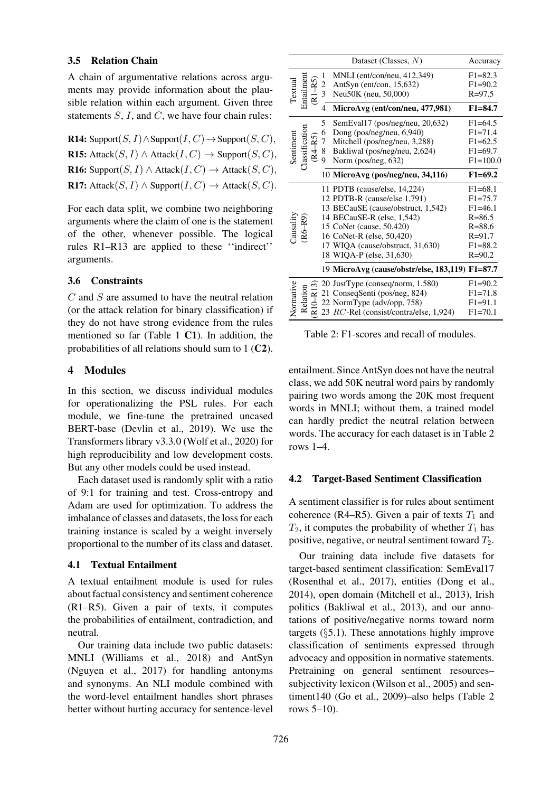#### 3.5 Relation Chain

A chain of argumentative relations across arguments may provide information about the plausible relation within each argument. Given three statements  $S$ ,  $I$ , and  $C$ , we have four chain rules:

R14: Support(S, I)∧Support(I,C)→Support(S, C), R15: Attack(S, I) ∧ Attack(I,C) → Support(S, C), R16: Support(S, I) ∧ Attack(I,C) → Attack(S, C), R17: Attack(S, I) ∧ Support(I,C) → Attack(S, C).

For each data split, we combine two neighboring arguments where the claim of one is the statement of the other, whenever possible. The logical rules R1–R13 are applied to these ''indirect'' arguments.

#### 3.6 Constraints

C and S are assumed to have the neutral relation (or the attack relation for binary classification) if they do not have strong evidence from the rules mentioned so far (Table 1 C1). In addition, the probabilities of all relations should sum to 1 (C2).

#### 4 Modules

<span id="page-5-0"></span>In this section, w[e](#page-2-1) [discus](#page-2-1)s individual modules for operationalizing the PSL rules. For each module, we fine-tune the pretrained uncased BERT-base (Devlin et al., 2019). We use the Transformers library v3.3.0 (Wolf et al., 2020) for high reproducibility and low development costs. But any other models could be used instead.

Each datas[et](#page-15-11) [used](#page-15-11) [is](#page-15-11) [rand](#page-15-11)o[mly](#page-15-11) [sp](#page-15-11)lit with a ratio of 9:1 for training and tes[t.](#page-18-2) [Cross-entropy](#page-18-2) and Adam are used for optimization. To address the imbalance of classes and datasets, the loss for each training instance is scaled by a weight inversely proportional to the number of its class and dataset.

#### 4.1 Textual Entailment

<span id="page-5-1"></span>A textual entailment module is used for rules about factual consistency and sentiment coherence (R1–R5). Given a pair of texts, it computes the probabilities of entailment, contradiction, and neutral.

Our training data include two public datasets: MNLI (Williams et al., 2018) and AntSyn (Nguyen et al., 2017) for handling antonyms and synonyms. An NLI module combined with the word-level entailment handles short phrases [better without h](#page-16-14)[ur](#page-17-8)[ting](#page-16-14) [accu](#page-17-8)r[acy](#page-17-8) [fo](#page-17-8)r sentence-level

<span id="page-5-3"></span>

|                                                  | Dataset (Classes, $N$ )                                                                                                                                                                                                                                   | Accuracy                                                                                                         |
|--------------------------------------------------|-----------------------------------------------------------------------------------------------------------------------------------------------------------------------------------------------------------------------------------------------------------|------------------------------------------------------------------------------------------------------------------|
| Entailment<br><b>Textual</b>                     | MNLI (ent/con/neu, 412,349)<br>1<br>$\overline{c}$<br>AntSyn (ent/con, $15,632$ )<br>$\overline{3}$<br>Neu50K (neu, 50,000)                                                                                                                               | $F1 = 82.3$<br>$F1 = 90.2$<br>$R = 97.5$                                                                         |
|                                                  | MicroAvg (ent/con/neu, 477,981)<br>4                                                                                                                                                                                                                      | $F1 = 84.7$                                                                                                      |
| <b>Jassification</b><br>Sentiment<br>$(R4 - R5)$ | 5<br>SemEval17 (pos/neg/neu, 20,632)<br>6<br>Dong (pos/neg/neu, $6,940$ )<br>7<br>Mitchell (pos/neg/neu, 3,288)<br>8<br>Bakliwal (pos/neg/neu, 2,624)<br>9<br>Norm (pos/neg, 632)                                                                         | $F1 = 64.5$<br>$F1 = 71.4$<br>$F1 = 62.5$<br>$F1 = 69.7$<br>$F1 = 100.0$                                         |
|                                                  | 10 MicroAvg (pos/neg/neu, 34,116)                                                                                                                                                                                                                         | $F1 = 69.2$                                                                                                      |
| Causality<br>(R6–R9)                             | 11 PDTB (cause/else, 14,224)<br>12 PDTB-R (cause/else 1,791)<br>13 BECauSE (cause/obstruct, 1,542)<br>14 BECauSE-R (else, 1,542)<br>15 CoNet (cause, 50,420)<br>16 CoNet-R (else, 50,420)<br>17 WIQA (cause/obstruct, 31,630)<br>18 WIQA-P (else, 31,630) | $F1 = 68.1$<br>$F1 = 75.7$<br>$F1 = 46.1$<br>$R = 86.5$<br>$R = 88.6$<br>$R = 91.7$<br>$F1 = 88.2$<br>$R = 90.2$ |
|                                                  | 19 MicroAvg (cause/obstr/else, 183,119) F1=87.7                                                                                                                                                                                                           |                                                                                                                  |
| Normative<br>Relation                            | 20 JustType (conseq/norm, 1,580)<br>21 ConseqSenti (pos/neg, 824)<br>22 NormType (adv/opp, 758)<br>$\geq$ 23 RC-Rel (consist/contra/else, 1,924)                                                                                                          | $F1 = 90.2$<br>$F1 = 71.8$<br>$F1 = 91.1$<br>$F1 = 70.1$                                                         |

Table 2: F1-scores and recall of modules.

entailment. Since AntSyn does not have the neutral class, we add 50K neutral word pairs by randomly pairing two words among the 20K most frequent words in MNLI; without them, a trained model can hardly predict the neutral relation between words. The accuracy for each dataset is in Table 2 rows 1–4.

#### 4.2 Target-Based Sentiment Classific[ation](#page-5-3)

<span id="page-5-2"></span>A sentiment classifier is for rules about sentiment coherence (R4–R5). Given a pair of texts  $T_1$  and  $T_2$ , it computes the probability of whether  $T_1$  has positive, negative, or neutral sentiment toward  $T_2$ .

Our training data include five datasets for target-based sentiment classification: SemEval17 (Rosenthal et al., 2017), entities (Dong et al., 2014), open domain (Mitchell et al., 2013), Irish politics (Bakliwal et al., 2013), and our anno[tations of positiv](#page-17-9)e[/negat](#page-17-9)ive norms [toward norm](#page-15-12) [targe](#page-15-12)ts (§5.1). These [annotations highly im](#page-16-15)prove classific[ation of sentiments ex](#page-14-6)pressed through advocacy and opposition in normative statements. Pretraining on general sentiment resources– subjectiv[ity](#page-7-0) [l](#page-7-0)exicon (Wilson et al., 2005) and sentiment140 (Go et al., 2009)–also helps (Table 2 rows 5–10).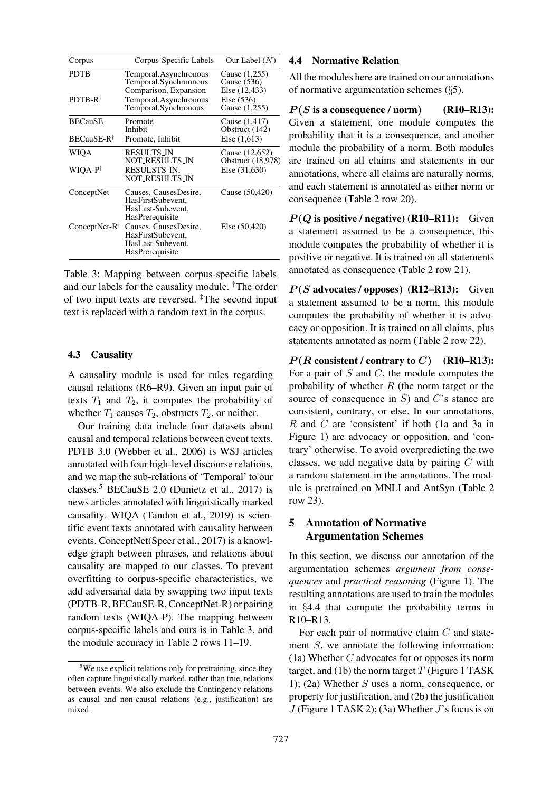<span id="page-6-2"></span>

| Corpus                                   | Corpus-Specific Labels                                                                                                                                                          | Our Label $(N)$                                                                  |
|------------------------------------------|---------------------------------------------------------------------------------------------------------------------------------------------------------------------------------|----------------------------------------------------------------------------------|
| <b>PDTB</b><br>PDTB-R <sup>†</sup>       | Temporal.Asynchronous<br>Temporal.Synchrnonous<br>Comparison, Expansion<br>Temporal.Asynchronous<br>Temporal.Synchronous                                                        | Cause (1,255)<br>Cause $(536)$<br>Else (12,433)<br>Else $(536)$<br>Cause (1,255) |
| <b>BECauSE</b><br>BECauSE-R <sup>†</sup> | Promote<br>Inhibit<br>Promote, Inhibit                                                                                                                                          | Cause (1,417)<br>Obstruct (142)<br>Else $(1,613)$                                |
| WIQA<br>$WIQA-P‡$                        | RESULTS_IN<br><b>NOT_RESULTS_IN</b><br>RESULSTS_IN.<br><b>NOT_RESULTS_IN</b>                                                                                                    | Cause (12,652)<br>Obstruct (18,978)<br>Else (31,630)                             |
| ConceptNet<br>ConceptNet-R <sup>†</sup>  | Causes, CausesDesire,<br>HasFirstSubevent,<br>HasLast-Subevent,<br>HasPrerequisite<br>Causes, CausesDesire,<br>HasFirstSubevent,<br>HasLast-Subevent,<br><b>HasPrerequisite</b> | Cause (50,420)<br>Else $(50, 420)$                                               |

Table 3: Mapping between corpus-specific labels and our labels for the causality module. † The order of two input texts are reversed. <sup>‡</sup>The second input text is replaced with a random text in the corpus.

#### 4.3 Causality

A causality module is used for rules regarding causal relations (R6–R9). Given an input pair of texts  $T_1$  and  $T_2$ , it computes the probability of whether  $T_1$  causes  $T_2$ , obstructs  $T_2$ , or neither.

Our training data include four datasets about causal and temporal relations between event texts. PDTB 3.0 (Webber et al., 2006) is WSJ articles annotated with four high-level discourse relations, and we map the sub-relations of 'Temporal' to our classes.<sup>5</sup> BECauSE 2.0 (Dunietz et al., 2017) is news articl[es](#page-17-10) [annotated](#page-17-10) [wi](#page-17-10)t[h](#page-17-10) [lingu](#page-17-10)istically marked causality. WIQA (Tandon et al., 2019) is scientific event texts annotated with causality between events. [C](#page-6-1)onceptNet(Spee[r](#page-15-13) [et](#page-15-13) [al.,](#page-15-13) [2017\)](#page-15-13) [is](#page-15-13) [a](#page-15-13) [kno](#page-15-13)wledge graph between phrases, and relations about causality are map[ped](#page-17-11) [to](#page-17-11) [our](#page-17-11) [cla](#page-17-11)s[ses.](#page-17-11) [T](#page-17-11)o prevent overfitting to corpus-specific characteristics, we add adversarial dat[a](#page-17-12) [by](#page-17-12) [swapping](#page-17-12) [two](#page-17-12) input texts (PDTB-R, BECauSE-R, ConceptNet-R) or pairing random texts (WIQA-P). The mapping between corpus-specific labels and ours is in Table 3, and the module accuracy in Table 2 rows 11–19.

#### 4.4 Normative Relation

All the modules here are trained on our annotations of normative argumentation schemes (§5).

<span id="page-6-3"></span> $P(S \text{ is a consequence / norm})$  (R10–R13): Given a statement, one module computes the probability that it is a consequence, a[nd](#page-6-0) another module the probability of a norm. Both modules are trained on all claims and statements in our annotations, where all claims are naturally norms, and each statement is annotated as either norm or consequence (Table 2 row 20).

 $P(Q)$  is positive / negative) (R10–R11): Given a statement assumed to be a consequence, this module comp[utes the](#page-5-3) probability of whether it is positive or negative. It is trained on all statements annotated as consequence (Table 2 row 21).

 $P(S \text{ advances } I \text{ opposes})$  (R12–R13): Given a statement assumed to be a norm, this module computes the probability [of wheth](#page-5-3)er it is advocacy or opposition. It is trained on all claims, plus statements annotated as norm (Table 2 row 22).

 $P(R \text{ consistent } / \text{ contrary to } C)$  (R10–R13): For a pair of  $S$  and  $C$ , the module computes the probability of whether  $R$  (the [norm ta](#page-5-3)rget or the source of consequence in  $S$ ) and  $C$ 's stance are consistent, contrary, or else. In our annotations, R and C are 'consistent' if both (1a and 3a in Figure 1) are advocacy or opposition, and 'contrary' otherwise. To avoid overpredicting the two classes, we add negative data by pairing  $C$  with a random statement in the annotations. The mod[ule is pre](#page-7-1)trained on MNLI and AntSyn (Table 2 row 23).

## 5 Annotation of Normative Argumentation Schemes

<span id="page-6-0"></span>In this section, we discuss our annotation of the argumentation schemes *argument from consequences* and *practical reasoning* (Figure 1). The resulting annotations are used to train the modules in §4.4 that compute the probability terms in R10–R13.

For each pair of normative claim [C](#page-7-1) a[nd](#page-7-1) statement S, we annotate the following information: (1a) [Wh](#page-6-3)ether C advocates for or opposes its norm target, and (1b) the norm target  $T$  (Figure 1 TASK) 1); (2a) Whether  $S$  uses a norm, consequence, or property for justification, and (2b) the justification  $J$  (Figure 1 TASK 2); (3a) Whether  $J$ ['s focu](#page-7-1)s is on

<span id="page-6-1"></span><sup>&</sup>lt;sup>5</sup>We use explicit relations only for pretraining, since they often capture linguistically marked, rather th[an true, rela](#page-6-2)tions between events. We also ex[clude the C](#page-5-3)ontingency relations as causal and non-causal relations (e.g., justification) are mixed.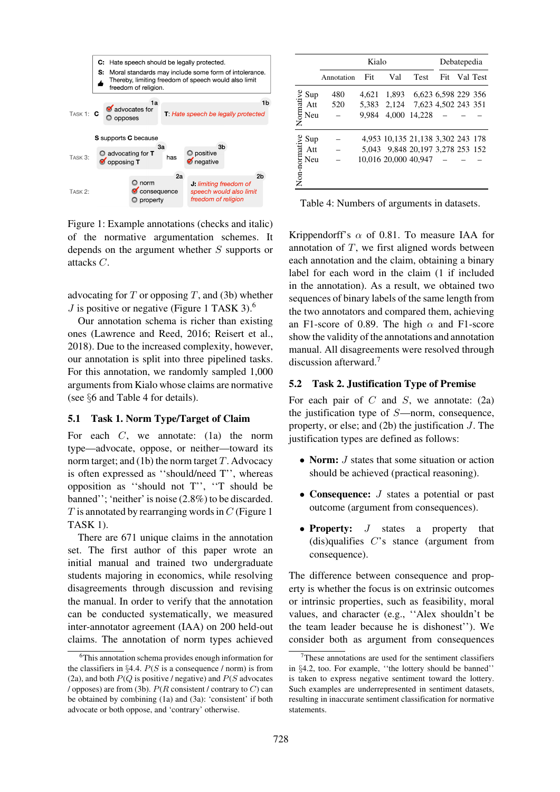<span id="page-7-1"></span>

Figure 1: Example annotations (checks and italic) of the normative argumentation schemes. It depends on the argument whether S supports or attacks C.

advocating for  $T$  or opposing  $T$ , and (3b) whether J is positive or negative (Figure 1 TASK 3). $<sup>6</sup>$ </sup>

Our annotation schema is richer than existing ones (Lawrence and Reed, 2016; Reisert et al., 2018). Due to the increased complexity, however, our annotation is split in[to three](#page-7-1) [p](#page-7-1)ipelined [ta](#page-7-2)sks. For t[his annotation, we randomly](#page-16-1) [sampled 1,000](#page-17-7) [argum](#page-17-7)ents from Kialo whose claims are normative (see §6 and Table 4 for details).

### 5.1 Task 1. Norm Type/Target of Claim

<span id="page-7-0"></span>For each  $C$ , we annotate: (1a) the norm type[—a](#page-8-0)dv[ocate,](#page-7-3) [op](#page-7-3)pose, or neither—toward its norm target; and (1b) the norm target  $T$ . Advocacy is often expressed as ''should/need T'', whereas opposition as ''should not T'', ''T should be banned''; 'neither' is noise (2.8%) to be discarded.  $T$  is annotated by rearranging words in  $C$  (Figure 1) TASK 1).

There are 671 unique claims in the annotation set. The first author of this paper wrote an initial manual and trained two under[graduate](#page-7-1) students majoring in economics, while resolving disagreements through discussion and revising the manual. In order to verify that the annotation can be conducted systematically, we measured inter-annotator agreement (IAA) on 200 held-out claims. The annotation of norm types achieved

<span id="page-7-3"></span>

|               |     |            | Kialo |                      | Debatepedia                       |  |  |              |  |  |
|---------------|-----|------------|-------|----------------------|-----------------------------------|--|--|--------------|--|--|
|               |     | Annotation | Fit   | Val                  | <b>Test</b>                       |  |  | Fit Val Test |  |  |
|               | Sup | 480        | 4.621 | 1,893                | 6,623 6,598 229 356               |  |  |              |  |  |
|               | Att | 520        | 5.383 |                      | 2,124 7,623 4,502 243 351         |  |  |              |  |  |
| Normative     | Neu |            | 9.984 | 4.000                | 14.228                            |  |  |              |  |  |
|               | Sup |            |       |                      | 4,953 10,135 21,138 3,302 243 178 |  |  |              |  |  |
|               | Att |            |       |                      | 5,043 9,848 20,197 3,278 253 152  |  |  |              |  |  |
| Non-normative | Neu |            |       | 10,016 20,000 40,947 |                                   |  |  |              |  |  |

Table 4: Numbers of arguments in datasets.

Krippendorff's  $\alpha$  of 0.81. To measure IAA for annotation of  $T$ , we first aligned words between each annotation and the claim, obtaining a binary label for each word in the claim (1 if included in the annotation). As a result, we obtained two sequences of binary labels of the same length from the two annotators and compared them, achieving an F1-score of 0.89. The high  $\alpha$  and F1-score show the validity of the annotations and annotation manual. All disagreements were resolved through discussion afterward.<sup>7</sup>

### 5.2 Task 2. Justification Type of Premise

For each pair of  $C$  and  $S$ , we annotate: (2a) the justification typ[e](#page-7-4) [o](#page-7-4)f S—norm, consequence, property, or else; and (2b) the justification J. The justification types are defined as follows:

- **Norm:** *J* states that some situation or action should be achieved (practical reasoning).
- Consequence: *J* states a potential or past outcome (argument from consequences).
- Property: J states a property that  $(dis)$ qualifies  $C$ 's stance (argument from consequence).

The difference between consequence and property is whether the focus is on extrinsic outcomes or intrinsic properties, such as feasibility, moral values, and character (e.g., ''Alex shouldn't be the team leader because he is dishonest''). We consider both as argument from consequences

<span id="page-7-2"></span><sup>6</sup>This annotation schema provides enough information for the classifiers in §4.4.  $P(S \text{ is a consequence / norm})$  is from (2a), and both  $P(Q)$  is positive / negative) and  $P(S)$  advocates / opposes) are from (3b).  $P(R \text{ consistent}/\text{contrast})$  to  $C$ ) can be obtained by combining (1a) and (3a): 'consistent' if both advocate or both [oppo](#page-6-3)se, and 'contrary' otherwise.

<span id="page-7-4"></span><sup>7</sup>These annotations are used for the sentiment classifiers in §4.2, too. For example, ''the lottery should be banned'' is taken to express negative sentiment toward the lottery. Such examples are underrepresented in sentiment datasets, resulting in inaccurate sentiment classification for normative stat[eme](#page-5-2)nts.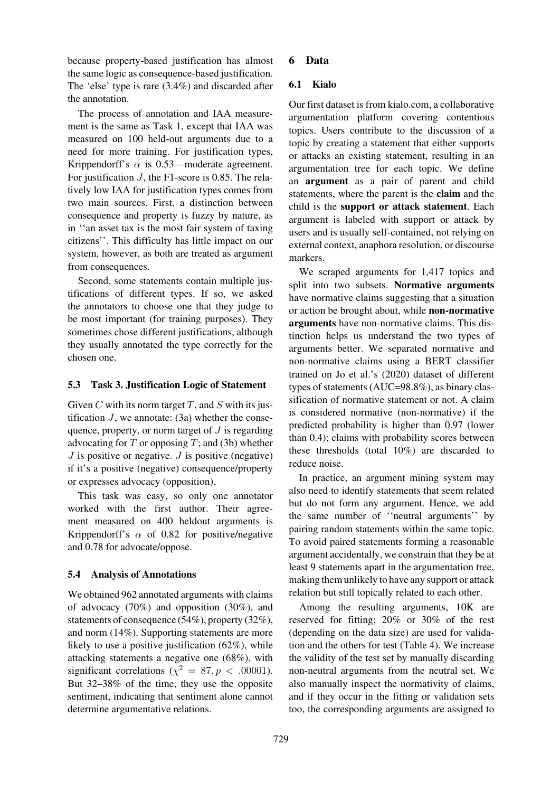because property-based justification has almost the same logic as consequence-based justification. The 'else' type is rare (3.4%) and discarded after the annotation.

The process of annotation and IAA measurement is the same as Task 1, except that IAA was measured on 100 held-out arguments due to a need for more training. For justification types, Krippendorff's  $\alpha$  is 0.53—moderate agreement. For justification *J*, the F1-score is 0.85. The relatively low IAA for justification types comes from two main sources. First, a distinction between consequence and property is fuzzy by nature, as in ''an asset tax is the most fair system of taxing citizens''. This difficulty has little impact on our system, however, as both are treated as argument from consequences.

Second, some statements contain multiple justifications of different types. If so, we asked the annotators to choose one that they judge to be most important (for training purposes). They sometimes chose different justifications, although they usually annotated the type correctly for the chosen one.

#### 5.3 Task 3. Justification Logic of Statement

<span id="page-8-1"></span>Given  $C$  with its norm target  $T$ , and  $S$  with its justification  $J$ , we annotate: (3a) whether the consequence, property, or norm target of  $J$  is regarding advocating for  $T$  or opposing  $T$ ; and (3b) whether  $J$  is positive or negative.  $J$  is positive (negative) if it's a positive (negative) consequence/property or expresses advocacy (opposition).

This task was easy, so only one annotator worked with the first author. Their agreement measured on 400 heldout arguments is Krippendorff's  $\alpha$  of 0.82 for positive/negative and 0.78 for advocate/oppose.

### 5.4 Analysis of Annotations

We obtained 962 annotated arguments with claims of advocacy (70%) and opposition (30%), and statements of consequence (54%), property (32%), and norm (14%). Supporting statements are more likely to use a positive justification (62%), while attacking statements a negative one (68%), with significant correlations ( $\chi^2 = 87, p < .00001$ ). But 32–38% of the time, they use the opposite sentiment, indicating that sentiment alone cannot determine argumentative relations.

## 6 Data

## <span id="page-8-0"></span>6.1 Kialo

Our first dataset is from kialo.com, a collaborative argumentation platform covering contentious topics. Users contribute to the discussion of a topic by creating a statement that either supports or attacks an existing statement, resulting in an argumentation tree for each topic. We define an argument as a pair of parent and child statements, where the parent is the claim and the child is the support or attack statement. Each argument is labeled with support or attack by users and is usually self-contained, not relying on external context, anaphora resolution, or discourse markers.

We scraped arguments for 1,417 topics and split into two subsets. Normative arguments have normative claims suggesting that a situation or action be brought about, while non-normative arguments have non-normative claims. This distinction helps us understand the two types of arguments better. We separated normative and non-normative claims using a BERT classifier trained on Jo et al.'s (2020) dataset of different types of statements (AUC=98.8%), as binary classification of normative statement or not. A claim is conside[red norm](#page-16-12)ati[ve \(no](#page-16-12)n-normative) if the predicted probability is higher than 0.97 (lower than 0.4); claims with probability scores between these thresholds (total 10%) are discarded to reduce noise.

In practice, an argument mining system may also need to identify statements that seem related but do not form any argument. Hence, we add the same number of ''neutral arguments'' by pairing random statements within the same topic. To avoid paired statements forming a reasonable argument accidentally, we constrain that they be at least 9 statements apart in the argumentation tree, making them unlikely to have any support or attack relation but still topically related to each other.

Among the resulting arguments, 10K are reserved for fitting; 20% or 30% of the rest (depending on the data size) are used for validation and the others for test (Table 4). We increase the validity of the test set by manually discarding non-neutral arguments from the neutral set. We also manually inspect the normativity of claims, and if they occur in the fit[ting](#page-7-3) [or](#page-7-3) [v](#page-7-3)alidation sets too, the corresponding arguments are assigned to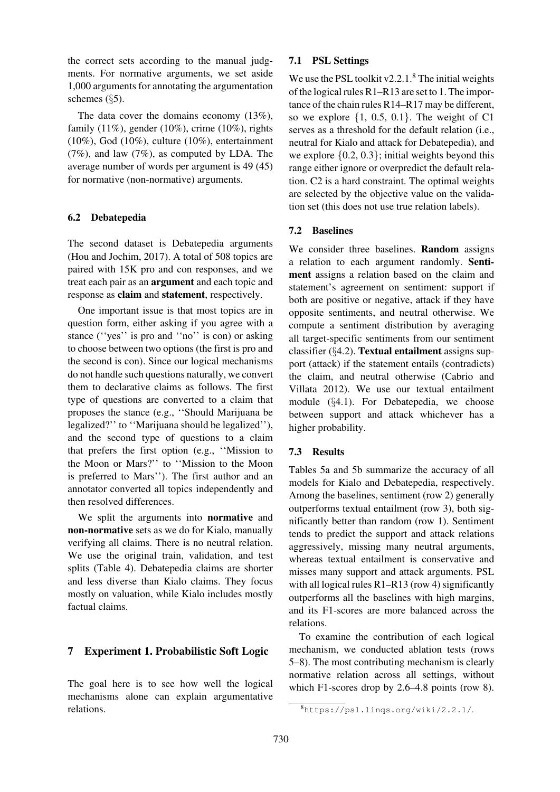the correct sets according to the manual judgments. For normative arguments, we set aside 1,000 arguments for annotating the argumentation schemes (§5).

The data cover the domains economy (13%), family  $(11\%)$ , gender  $(10\%)$ , crime  $(10\%)$ , rights (10%), Go[d](#page-6-0) (10%), culture (10%), entertainment (7%), and law (7%), as computed by LDA. The average number of words per argument is 49 (45) for normative (non-normative) arguments.

## 6.2 Debatepedia

The second dataset is Debatepedia arguments (Hou and Jochim, 2017). A total of 508 topics are paired with 15K pro and con responses, and we treat each pair as an argument and each topic and [response as](#page-16-4) claim [and](#page-16-4) statement, respectively.

One important issue is that most topics are in question form, either asking if you agree with a stance ("yes" is pro and "no" is con) or asking to choose between two options (the first is pro and the second is con). Since our logical mechanisms do not handle such questions naturally, we convert them to declarative claims as follows. The first type of questions are converted to a claim that proposes the stance (e.g., ''Should Marijuana be legalized?'' to ''Marijuana should be legalized''), and the second type of questions to a claim that prefers the first option (e.g., ''Mission to the Moon or Mars?'' to ''Mission to the Moon is preferred to Mars''). The first author and an annotator converted all topics independently and then resolved differences.

We split the arguments into normative and non-normative sets as we do for Kialo, manually verifying all claims. There is no neutral relation. We use the original train, validation, and test splits (Table 4). Debatepedia claims are shorter and less diverse than Kialo claims. They focus mostly on valuation, while Kialo includes mostly factual [claims.](#page-7-3)

## 7 Experiment 1. Probabilistic Soft Logic

<span id="page-9-0"></span>The goal here is to see how well the logical mechanisms alone can explain argumentative relations.

#### 7.1 PSL Settings

We use the PSL toolkit  $v2.2.1$ .<sup>8</sup> The initial weights of the logical rules R1–R13 are set to 1. The importance of the chain rules R14–R17 may be different, so we explore  $\{1, 0.5, 0.1\}$ . The weight of C1 serves as a threshold for the [de](#page-9-1)fault relation (i.e., neutral for Kialo and attack for Debatepedia), and we explore  $\{0.2, 0.3\}$ ; initial weights beyond this range either ignore or overpredict the default relation. C2 is a hard constraint. The optimal weights are selected by the objective value on the validation set (this does not use true relation labels).

#### 7.2 Baselines

We consider three baselines. Random assigns a relation to each argument randomly. Sentiment assigns a relation based on the claim and statement's agreement on sentiment: support if both are positive or negative, attack if they have opposite sentiments, and neutral otherwise. We compute a sentiment distribution by averaging all target-specific sentiments from our sentiment classifier  $(\S 4.2)$ . Textual entailment assigns support (attack) if the statement entails (contradicts) the claim, and neutral otherwise (Cabrio and Villata 2012). We use our textual entailment module (§[4.1\)](#page-5-2). For Debatepedia, we choose between support and attack whic[hever has a](#page-15-14) [higher](#page-15-14) [probab](#page-15-3)ility.

### 7.3 Resu[lts](#page-5-1)

Tables 5a and 5b summarize the accuracy of all models for Kialo and Debatepedia, respectively. Among the baselines, sentiment (row 2) generally outperforms textual entailment (row 3), both sig[nificantly](#page-10-0) bett[er](#page-10-0) [th](#page-10-0)an random (row 1). Sentiment tends to predict the support and attack relations aggressively, missing many neutral arguments, whereas textual entailment is conservative and misses many support and attack arguments. PSL with all logical rules R1–R13 (row 4) significantly outperforms all the baselines with high margins, and its F1-scores are more balanced across the relations.

To examine the contribution of each logical mechanism, we conducted ablation tests (rows 5–8). The most contributing mechanism is clearly normative relation across all settings, without which F1-scores drop by 2.6–4.8 points (row 8).

<span id="page-9-1"></span><sup>8</sup>https://psl.linqs.org/wiki/2.2.1/.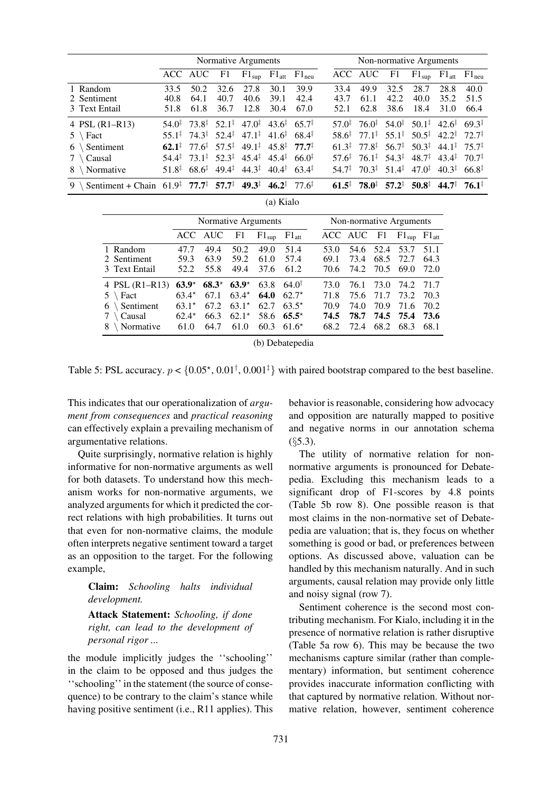<span id="page-10-0"></span>

|                                                                                                                                                                                                                                       |      | Normative Arguments |      |                                                                                                                                                                                                                         |      |                       |  |      | Non-normative Arguments |       |                                                                                                                                                                                                                 |                       |      |
|---------------------------------------------------------------------------------------------------------------------------------------------------------------------------------------------------------------------------------------|------|---------------------|------|-------------------------------------------------------------------------------------------------------------------------------------------------------------------------------------------------------------------------|------|-----------------------|--|------|-------------------------|-------|-----------------------------------------------------------------------------------------------------------------------------------------------------------------------------------------------------------------|-----------------------|------|
|                                                                                                                                                                                                                                       |      | ACC AUC             | F1   | $F1_{\text{sup}}$                                                                                                                                                                                                       |      | $F1_{att}$ $F1_{neu}$ |  |      | ACC AUC                 | - F1  | $F1_{\text{sup}}$                                                                                                                                                                                               | $F1_{att}$ $F1_{neu}$ |      |
| 1 Random                                                                                                                                                                                                                              | 33.5 | 50.2                | 32.6 | 27.8                                                                                                                                                                                                                    | 30.1 | 39.9                  |  | 33.4 | 49.9                    | 32.5  | 28.7                                                                                                                                                                                                            | 28.8                  | 40.0 |
| 2 Sentiment                                                                                                                                                                                                                           | 40.8 | 64.1                | 40.7 | 40.6                                                                                                                                                                                                                    | 39.1 | 42.4                  |  | 43.7 | 61.1                    | 42.2. | 40.0                                                                                                                                                                                                            | 35.2                  | 51.5 |
| 3 Text Entail                                                                                                                                                                                                                         | 51.8 | 61.8                | 36.7 | 12.8                                                                                                                                                                                                                    | 30.4 | 67.0                  |  | 52.1 | 62.8                    | 38.6  | 18.4                                                                                                                                                                                                            | 31.0                  | 66.4 |
| 4 PSL (R1-R13)                                                                                                                                                                                                                        |      |                     |      | $54.0^{\ddagger}$ $73.8^{\ddagger}$ $52.1^{\ddagger}$ $47.0^{\ddagger}$ $43.6^{\ddagger}$ $65.7^{\ddagger}$                                                                                                             |      |                       |  |      |                         |       | $57.0^{\ddagger}$ $76.0^{\ddagger}$ $54.0^{\ddagger}$ $50.1^{\ddagger}$ $42.6^{\ddagger}$ 69.3 <sup><math>\ddagger</math></sup>                                                                                 |                       |      |
| $5 \setminus$ Fact                                                                                                                                                                                                                    |      |                     |      | $55.1^{\ddagger}$ 74.3 <sup><math>\ddagger</math></sup> 52.4 <sup><math>\ddagger</math></sup> 47.1 <sup><math>\ddagger</math></sup> 41.6 <sup><math>\ddagger</math></sup> 68.4 <sup><math>\ddagger</math></sup>         |      |                       |  |      |                         |       | $58.6^{\ddagger}$ 77.1 <sup><math>\ddagger</math></sup> 55.1 <sup><math>\ddagger</math></sup> 50.5 <sup><math>\ddagger</math></sup> 42.2 <sup><math>\ddagger</math></sup> 72.7 <sup><math>\ddagger</math></sup> |                       |      |
| $6 \setminus$ Sentiment                                                                                                                                                                                                               |      |                     |      | 62.1 <sup><math>\sharp</math></sup> 77.6 <sup><math>\sharp</math></sup> 57.5 <sup><math>\sharp</math></sup> 49.1 <sup><math>\sharp</math></sup> 45.8 <sup><math>\sharp</math></sup> 77.7 <sup><math>\sharp</math></sup> |      |                       |  |      |                         |       | $61.3^{\ddagger}$ 77.8 <sup><math>\ddagger</math></sup> 56.7 <sup><math>\ddagger</math></sup> 50.3 <sup><math>\ddagger</math></sup> 44.1 <sup><math>\ddagger</math></sup> 75.7 <sup><math>\ddagger</math></sup> |                       |      |
| $7 \setminus$ Causal                                                                                                                                                                                                                  |      |                     |      | $54.4^{\ddagger}$ $73.1^{\ddagger}$ $52.3^{\ddagger}$ $45.4^{\ddagger}$ $45.4^{\ddagger}$ 66.0 <sup><math>\ddagger</math></sup>                                                                                         |      |                       |  |      |                         |       | $57.6^{\ddagger}$ $76.1^{\ddagger}$ $54.3^{\ddagger}$ $48.7^{\ddagger}$ $43.4^{\ddagger}$ $70.7^{\ddagger}$                                                                                                     |                       |      |
| 8 \ Normative                                                                                                                                                                                                                         |      |                     |      | $51.8^{\ddagger}$ 68.6 <sup><math>\ddagger</math></sup> 49.4 <sup><math>\ddagger</math></sup> 44.3 <sup><math>\ddagger</math></sup> 40.4 <sup><math>\ddagger</math></sup> 63.4 <sup><math>\ddagger</math></sup>         |      |                       |  |      |                         |       | $54.7^{\ddagger}$ 70.3 <sup><math>\ddagger</math></sup> 51.4 <sup><math>\ddagger</math></sup> 47.0 <sup><math>\ddagger</math></sup> 40.3 <sup><math>\ddagger</math></sup> 66.8 <sup><math>\ddagger</math></sup> |                       |      |
| 9 \ Sentiment + Chain $61.9^{\ddagger}$ 77.7 <sup><math>\ddagger</math></sup> 57.7 <sup><math>\ddagger</math></sup> 49.3 <sup><math>\ddagger</math></sup> 46.2 <sup><math>\ddagger</math></sup> 77.6 <sup><math>\ddagger</math></sup> |      |                     |      |                                                                                                                                                                                                                         |      |                       |  |      |                         |       | $61.5^{\ddagger}$ 78.0 <sup><math>\ddagger</math></sup> 57.2 <sup><math>\ddagger</math></sup> 50.8 <sup><math>\ddagger</math></sup> 44.7 <sup><math>\ddagger</math></sup> 76.1 <sup><math>\ddagger</math></sup> |                       |      |

(a) Kialo

|                         |         | Normative Arguments |                                  |                   | Non-normative Arguments |      |         |      |                   |                |  |
|-------------------------|---------|---------------------|----------------------------------|-------------------|-------------------------|------|---------|------|-------------------|----------------|--|
|                         |         | ACC AUC             | F1                               | $F1_{\text{sup}}$ | $F1_{att}$              |      | ACC AUC | F1   | $F1_{\text{sup}}$ | $F1_{\rm att}$ |  |
| 1 Random                | 47.7    | 49.4                | 50.2                             | 49.0              | 51.4                    | 53.0 | 54.6    | 52.4 | 53.7              | 51.1           |  |
| 2 Sentiment             | 59.3    | 63.9                | 59.2                             | 61.0              | 57.4                    | 69.1 | 73.4    | 68.5 | 72.7              | 64.3           |  |
| 3 Text Entail           | 52.2    | 55.8                | 49.4                             | 37.6              | 61.2                    | 70.6 | 74.2    | 70.5 | 69.0              | 72.0           |  |
| 4 PSL (R1-R13)          | $63.9*$ |                     | $68.3^{\star}$ 63.9 <sup>*</sup> |                   | 63.8 $64.0^{\dagger}$   | 73.0 | 76.1    | 73.0 | 74.2              | 71.7           |  |
| ∖ Fact                  | $63.4*$ | 67.1                | $63.4*$                          | 64.0              | $62.7*$                 | 71.8 | 75.6    | 71.7 | 73.2              | 70.3           |  |
| $6 \setminus$ Sentiment | $63.1*$ | 67.2                | $63.1*$                          | 62.7              | $63.5*$                 | 70.9 | 74.0    | 70.9 | 71.6              | 70.2           |  |
| Causal                  | $62.4*$ | 66.3                | $62.1*$                          |                   | 58.6 65.5*              | 74.5 | 78.7    |      | 74.5 75.4         | 73.6           |  |
| Normative<br>8          | 61.0    | 64.7                | 61.0                             | 60.3              | $61.6*$                 | 68.2 | 72.4    | 68.2 | 68.3              | 68.1           |  |

(b) Debatepedia

Table 5: PSL accuracy.  $p < \{0.05^*, 0.01^{\dagger}, 0.001^{\dagger}\}\$  with paired bootstrap compared to the best baseline.

This indicates that our operationalization of *argument from consequences* and *practical reasoning* can effectively explain a prevailing mechanism of argumentative relations.

Quite surprisingly, normative relation is highly informative for non-normative arguments as well for both datasets. To understand how this mechanism works for non-normative arguments, we analyzed arguments for which it predicted the correct relations with high probabilities. It turns out that even for non-normative claims, the module often interprets negative sentiment toward a target as an opposition to the target. For the following example,

## Claim: *Schooling halts individual development.*

Attack Statement: *Schooling, if done right, can lead to the development of personal rigor ...*

the module implicitly judges the ''schooling'' in the claim to be opposed and thus judges the ''schooling'' in the statement (the source of consequence) to be contrary to the claim's stance while having positive sentiment (i.e., R11 applies). This behavior is reasonable, considering how advocacy and opposition are naturally mapped to positive and negative norms in our annotation schema  $($ §5.3).

The utility of normative relation for nonnormative arguments is pronounced for Debatepedia. Excluding this mechanism leads to a si[gnif](#page-8-1)icant drop of F1-scores by 4.8 points (Table 5b row 8). One possible reason is that most claims in the non-normative set of Debatepedia are valuation; that is, they focus on whether something is good or bad, or preferences between [options.](#page-10-0) [A](#page-10-0)s discussed above, valuation can be handled by this mechanism naturally. And in such arguments, causal relation may provide only little and noisy signal (row 7).

Sentiment coherence is the second most contributing mechanism. For Kialo, including it in the presence of normative relation is rather disruptive (Table 5a row 6). This may be because the two mechanisms capture similar (rather than complementary) information, but sentiment coherence provides inaccurate information conflicting with [that](#page-10-0) [captur](#page-10-0)ed by normative relation. Without normative relation, however, sentiment coherence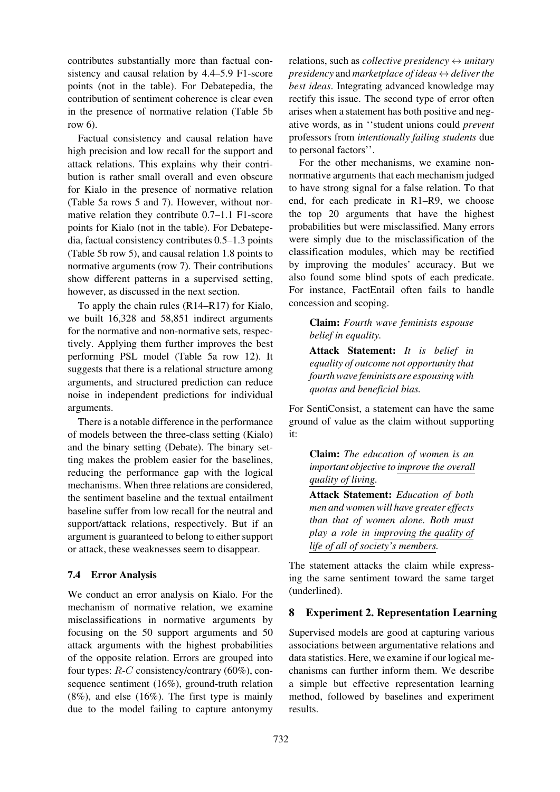contributes substantially more than factual consistency and causal relation by 4.4–5.9 F1-score points (not in the table). For Debatepedia, the contribution of sentiment coherence is clear even in the presence of normative relation (Table 5b row 6).

Factual consistency and causal relation have high precision and low recall for the support and attack relations. This explains why th[eir](#page-10-0) [contri](#page-10-0)bution is rather small overall and even obscure for Kialo in the presence of normative relation (Table 5a rows 5 and 7). However, without normative relation they contribute 0.7–1.1 F1-score points for Kialo (not in the table). For Debatepedia, factual consistency contributes 0.5–1.3 points [\(Table](#page-10-0) [5b](#page-10-0) row 5), and causal relation 1.8 points to normative arguments (row 7). Their contributions show different patterns in a supervised setting, however, as discussed in the next section.

[To](#page-10-0) [appl](#page-10-0)y the chain rules (R14–R17) for Kialo, we built 16,328 and 58,851 indirect arguments for the normative and non-normative sets, respectively. Applying them further improves the best performing PSL model (Table 5a row 12). It suggests that there is a relational structure among arguments, and structured prediction can reduce noise in independent pre[dictions fo](#page-10-0)r individual arguments.

There is a notable difference in the performance of models between the three-class setting (Kialo) and the binary setting (Debate). The binary setting makes the problem easier for the baselines, reducing the performance gap with the logical mechanisms. When three relations are considered, the sentiment baseline and the textual entailment baseline suffer from low recall for the neutral and support/attack relations, respectively. But if an argument is guaranteed to belong to either support or attack, these weaknesses seem to disappear.

## 7.4 Error Analysis

We conduct an error analysis on Kialo. For the mechanism of normative relation, we examine misclassifications in normative arguments by focusing on the 50 support arguments and 50 attack arguments with the highest probabilities of the opposite relation. Errors are grouped into four types:  $R-C$  consistency/contrary (60%), consequence sentiment (16%), ground-truth relation (8%), and else (16%). The first type is mainly due to the model failing to capture antonymy relations, such as *collective presidency* ↔ *unitary presidency* and *marketplace of ideas* ↔ *deliver the best ideas*. Integrating advanced knowledge may rectify this issue. The second type of error often arises when a statement has both positive and negative words, as in ''student unions could *prevent* professors from *intentionally failing students* due to personal factors''.

For the other mechanisms, we examine nonnormative arguments that each mechanism judged to have strong signal for a false relation. To that end, for each predicate in R1–R9, we choose the top 20 arguments that have the highest probabilities but were misclassified. Many errors were simply due to the misclassification of the classification modules, which may be rectified by improving the modules' accuracy. But we also found some blind spots of each predicate. For instance, FactEntail often fails to handle concession and scoping.

Claim: *Fourth wave feminists espouse belief in equality.*

Attack Statement: *It is belief in equality of outcome not opportunity that fourth wave feminists are espousing with quotas and beneficial bias.*

For SentiConsist, a statement can have the same ground of value as the claim without supporting it:

Claim: *The education of women is an important objective to improve the overall quality of living.*

Attack Statement: *Education of both men and women will have greater effects than that of women alone. Both must play a role in improving the quality of life of all of society's members.*

The statement attacks the claim while expressing the same sentiment toward the same target (underlined).

## 8 Experiment 2. Representation Learning

<span id="page-11-0"></span>Supervised models are good at capturing various associations between argumentative relations and data statistics. Here, we examine if our logical mechanisms can further inform them. We describe a simple but effective representation learning method, followed by baselines and experiment results.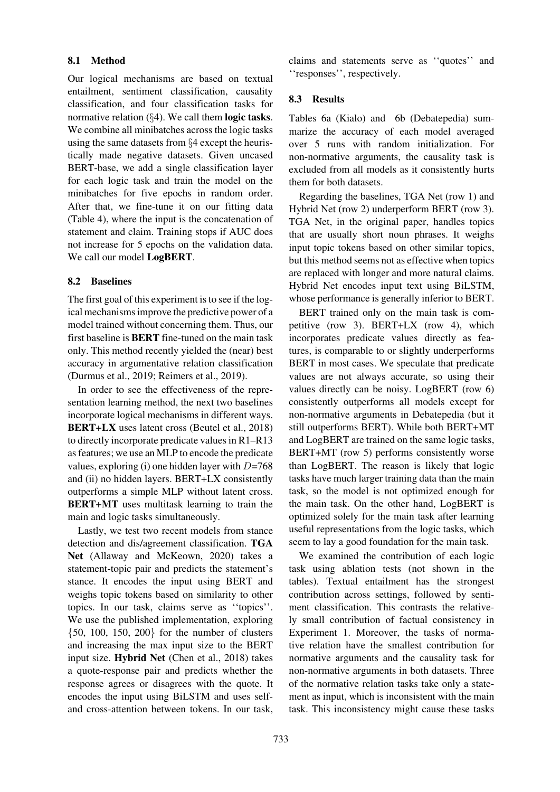#### 8.1 Method

Our logical mechanisms are based on textual entailment, sentiment classification, causality classification, and four classification tasks for normative relation  $(\S4)$ . We call them **logic tasks**. We combine all minibatches across the logic tasks using the same datasets from §4 except the heuristically made negative datasets. Given uncased BERT-base, we add [a](#page-5-0) single classification layer for each logic task and train the model on the minibatches for five epochs [i](#page-5-0)n random order. After that, we fine-tune it on our fitting data (Table 4), where the input is the concatenation of statement and claim. Training stops if AUC does not increase for 5 epochs on the validation data. [We call o](#page-7-3)ur model LogBERT.

#### 8.2 Baselines

The first goal of this experiment is to see if the logical mechanisms improve the predictive power of a model trained without concerning them. Thus, our first baseline is BERT fine-tuned on the main task only. This method recently yielded the (near) best accuracy in argumentative relation classification (Durmus et al., 2019; Reimers et al., 2019).

In order to see the effectiveness of the representation learning method, the next two baselines [incorporate logical m](#page-15-7)[echanisms in d](#page-17-13)i[fferen](#page-17-13)t ways. BERT+LX uses latent cross (Beutel et al., 2018) to directly incorporate predicate values in R1–R13 as features; we use an MLP to encode the predicate values, exploring (i) one hidden layer with  $D=768$ and (ii) no hidden layers. BE[RT+LX](#page-14-7) [consistently](#page-14-7) outperforms a simple MLP without latent cross. BERT+MT uses multitask learning to train the main and logic tasks simultaneously.

Lastly, we test two recent models from stance detection and dis/agreement classification. TGA Net (Allaway and McKeown, 2020) takes a statement-topic pair and predicts the statement's stance. It encodes the input using BERT and weighs topic tokens based on similarity to other topic[s.](#page-14-1) [In](#page-14-1) [our](#page-14-1) [task,](#page-14-1) [claims](#page-14-1) [ser](#page-14-1)v[e](#page-14-1) [as](#page-14-1) ''topics''. We use the published implementation, exploring  $\{50, 100, 150, 200\}$  for the number of clusters and increasing the max input size to the BERT input size. Hybrid Net (Chen et al., 2018) takes a quote-response pair and predicts whether the response agrees or disagrees with the quote. It encodes the input using BiLSTM and uses selfand cross-attention bet[ween](#page-15-1) [tokens.](#page-15-1) [In](#page-15-1) [ou](#page-15-1)r task,

claims and statements serve as ''quotes'' and ''responses'', respectively.

### 8.3 Results

Tables 6a (Kialo) and 6b (Debatepedia) summarize the accuracy of each model averaged over 5 runs with random initialization. For non-normative arguments, the causality task is [excluded](#page-13-0) [f](#page-13-0)rom all model[s](#page-13-0) [as](#page-13-0) it consistently hurts them for both datasets.

Regarding the baselines, TGA Net (row 1) and Hybrid Net (row 2) underperform BERT (row 3). TGA Net, in the original paper, handles topics that are usually short noun phrases. It weighs input topic tokens based on other similar topics, but this method seems not as effective when topics are replaced with longer and more natural claims. Hybrid Net encodes input text using BiLSTM, whose performance is generally inferior to BERT.

BERT trained only on the main task is competitive (row 3). BERT+LX (row 4), which incorporates predicate values directly as features, is comparable to or slightly underperforms BERT in most cases. We speculate that predicate values are not always accurate, so using their values directly can be noisy. LogBERT (row 6) consistently outperforms all models except for non-normative arguments in Debatepedia (but it still outperforms BERT). While both BERT+MT and LogBERT are trained on the same logic tasks, BERT+MT (row 5) performs consistently worse than LogBERT. The reason is likely that logic tasks have much larger training data than the main task, so the model is not optimized enough for the main task. On the other hand, LogBERT is optimized solely for the main task after learning useful representations from the logic tasks, which seem to lay a good foundation for the main task.

We examined the contribution of each logic task using ablation tests (not shown in the tables). Textual entailment has the strongest contribution across settings, followed by sentiment classification. This contrasts the relatively small contribution of factual consistency in Experiment 1. Moreover, the tasks of normative relation have the smallest contribution for normative arguments and the causality task for non-normative arguments in both datasets. Three of the normative relation tasks take only a statement as input, which is inconsistent with the main task. This inconsistency might cause these tasks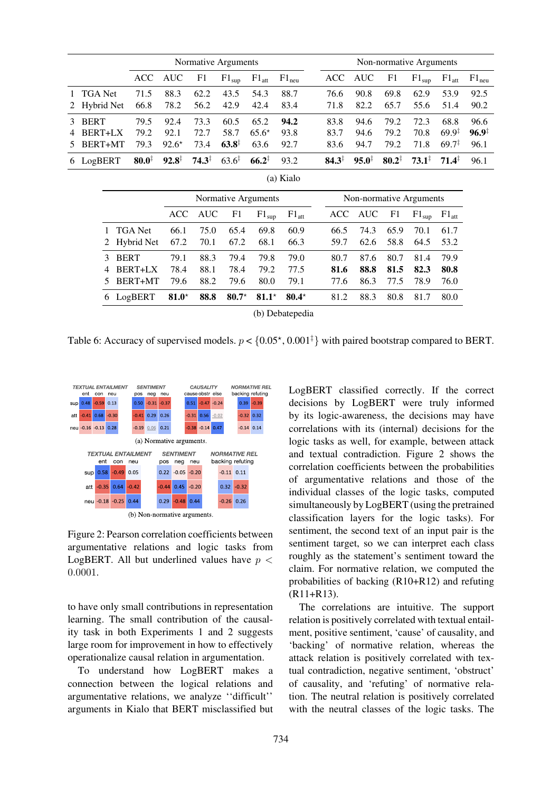<span id="page-13-0"></span>

|   |              | Normative Arguments |                   |                   |                   |                  |                   |  | Non-normative Arguments |                   |                   |                   |                      |                   |  |
|---|--------------|---------------------|-------------------|-------------------|-------------------|------------------|-------------------|--|-------------------------|-------------------|-------------------|-------------------|----------------------|-------------------|--|
|   |              |                     | ACC AUC           | F1                | $F1_{\text{sup}}$ | $F1_{att}$       | $F1_{\text{neu}}$ |  | ACC                     | AUC               | F1                | $F1_{\text{sup}}$ | $F1_{att}$           | $F1_{neu}$        |  |
|   | TGA Net      | 71.5                | 88.3              | 62.2              | 43.5              | 54.3             | 88.7              |  | 76.6                    | 90.8              | 69.8              | 62.9              | 53.9                 | 92.5              |  |
|   | 2 Hybrid Net | 66.8                | 78.2              | 56.2              | 42.9              | 42.4             | 83.4              |  | 71.8                    | 82.2              | 65.7              | 55.6              | 51.4                 | 90.2              |  |
|   | <b>BERT</b>  | 79.5                | 92.4              | 73.3              | 60.5              | 65.2             | 94.2              |  | 83.8                    | 94.6              | 79.2              | 72.3              | 68.8                 | 96.6              |  |
| 4 | BERT+LX      | 79.2                | 92.1              | 72.7              | 58.7              | $65.6*$          | 93.8              |  | 83.7                    | 94.6              | 79.2              | 70.8              | $69.9^{\frac{1}{4}}$ | $96.9^{\ddagger}$ |  |
| 5 | BERT+MT      | 79.3                | $92.6*$           | 73.4              | $63.8^{\dagger}$  | 63.6             | 92.7              |  | 83.6                    | 94.7              | 79.2              | 71.8              | $69.7^{\frac{1}{2}}$ | 96.1              |  |
|   | 6 LogBERT    | $80.0^\ddagger$     | $92.8^{\ddagger}$ | $74.3^{\ddagger}$ | $63.6^{\ddagger}$ | $66.2^{\dagger}$ | 93.2              |  | $84.3^{\ddagger}$       | $95.0^{\ddagger}$ | $80.2^{\ddagger}$ | $73.1^{\ddagger}$ | $71.4^{\circ}$       | 96.1              |  |

|    |                |          |      |         | Normative Arguments |                 | Non-normative Arguments |         |      |                   |            |  |  |
|----|----------------|----------|------|---------|---------------------|-----------------|-------------------------|---------|------|-------------------|------------|--|--|
|    |                | ACC      | AUC  | F1      | $F1_{\text{sup}}$   | $F1_{att}$      |                         | ACC AUC | F1   | $F1_{\text{sup}}$ | $F1_{att}$ |  |  |
|    | <b>TGA</b> Net | 66.1     | 75.0 | 65.4    | 69.8                | 60.9            | 66.5                    | 74.3    | 65.9 | 70.1              | 61.7       |  |  |
|    | 2 Hybrid Net   | 67.2     | 70.1 | 67.2    | 68.1                | 66.3            | 59.7                    | 62.6    | 58.8 | 64.5              | 53.2       |  |  |
| 3  | <b>BERT</b>    | 79.1     | 88.3 | 79.4    | 79.8                | 79.0            | 80.7                    | 87.6    | 80.7 | 81.4              | 79.9       |  |  |
| 4  | BERT+LX        | 78.4     | 88.1 | 78.4    | 79.2                | 77.5            | 81.6                    | 88.8    | 81.5 | 82.3              | 80.8       |  |  |
|    | BERT+MT        | 79.6     | 88.2 | 79.6    | 80.0                | 79.1            | 77.6                    | 86.3    | 77.5 | 78.9              | 76.0       |  |  |
| 6. | LogBERT        | $81.0^*$ | 88.8 | $80.7*$ | $81.1*$             | $80.4*$         | 81.2                    | 88.3    | 80.8 | 81.7              | 80.0       |  |  |
|    |                |          |      |         |                     | (b) Debatepedia |                         |         |      |                   |            |  |  |

Table 6: Accuracy of supervised models.  $p < \{0.05^*, 0.001^{\ddagger}\}\$  with paired bootstrap compared to BERT.

<span id="page-13-1"></span>

(b) Non-normative arguments.

Figure 2: Pearson correlation coefficients between argumentative relations and logic tasks from LogBERT. All but underlined values have  $p <$ 0.0001.

to have only small contributions in representation learning. The small contribution of the causality task in both Experiments 1 and 2 suggests large room for improvement in how to effectively operationalize causal relation in argumentation.

To understand how LogBERT makes a connection between the logical relations and argumentative relations, we analyze ''difficult'' arguments in Kialo that BERT misclassified but LogBERT classified correctly. If the correct decisions by LogBERT were truly informed by its logic-awareness, the decisions may have correlations with its (internal) decisions for the logic tasks as well, for example, between attack and textual contradiction. Figure 2 shows the correlation coefficients between the probabilities of argumentative relations and those of the individual classes of the logic tasks, computed simultaneously by LogBER[T \(using](#page-13-1) [th](#page-13-1)e pretrained classification layers for the logic tasks). For sentiment, the second text of an input pair is the sentiment target, so we can interpret each class roughly as the statement's sentiment toward the claim. For normative relation, we computed the probabilities of backing (R10+R12) and refuting (R11+R13).

The correlations are intuitive. The support relation is positively correlated with textual entailment, positive sentiment, 'cause' of causality, and 'backing' of normative relation, whereas the attack relation is positively correlated with textual contradiction, negative sentiment, 'obstruct' of causality, and 'refuting' of normative relation. The neutral relation is positively correlated with the neutral classes of the logic tasks. The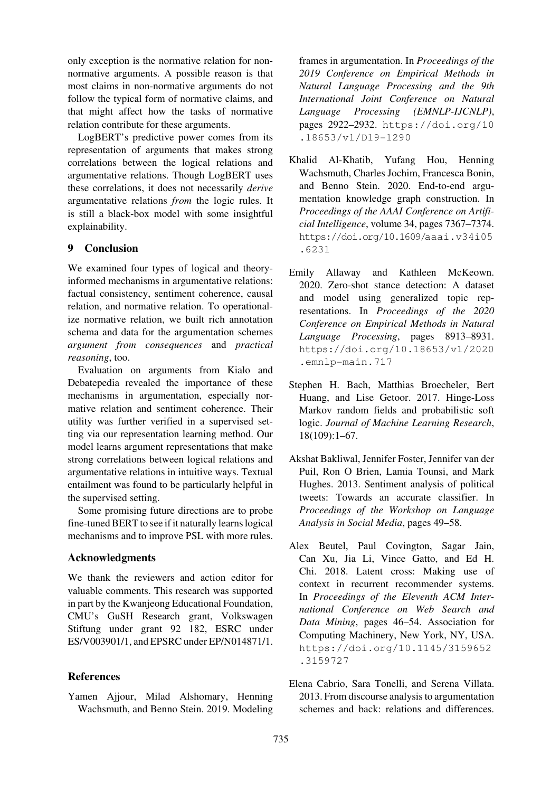only exception is the normative relation for nonnormative arguments. A possible reason is that most claims in non-normative arguments do not follow the typical form of normative claims, and that might affect how the tasks of normative relation contribute for these arguments.

LogBERT's predictive power comes from its representation of arguments that makes strong correlations between the logical relations and argumentative relations. Though LogBERT uses these correlations, it does not necessarily *derive* argumentative relations *from* the logic rules. It is still a black-box model with some insightful explainability.

## 9 Conclusion

We examined four types of logical and theoryinformed mechanisms in argumentative relations: factual consistency, sentiment coherence, causal relation, and normative relation. To operationalize normative relation, we built rich annotation schema and data for the argumentation schemes *argument from consequences* and *practical reasoning*, too.

Evaluation on arguments from Kialo and Debatepedia revealed the importance of these mechanisms in argumentation, especially normative relation and sentiment coherence. Their utility was further verified in a supervised setting via our representation learning method. Our model learns argument representations that make strong correlations between logical relations and argumentative relations in intuitive ways. Textual entailment was found to be particularly helpful in the supervised setting.

Some promising future directions are to probe fine-tuned BERT to see if it naturally learns logical mechanisms and to improve PSL with more rules.

## Acknowledgments

We thank the reviewers and action editor for valuable comments. This research was supported in part by the Kwanjeong Educational Foundation, CMU's GuSH Research grant, Volkswagen Stiftung under grant 92 182, ESRC under ES/V003901/1, and EPSRC under EP/N014871/1.

## References

<span id="page-14-2"></span>Yamen Ajjour, Milad Alshomary, Henning Wachsmuth, and Benno Stein. 2019. Modeling frames in argumentation. In *Proceedings of the 2019 Conference on Empirical Methods in Natural Language Processing and the 9th International Joint Conference on Natural Language Processing (EMNLP-IJCNLP)*, pages 2922–2932. https://doi.org/10 .18653/v1/D19-1290

- <span id="page-14-3"></span>Khalid Al-Khatib, Yufang Hou, Henning Wachsmuth, Charle[s Jochim, Francesca Bonin,](https://doi.org/10.18653/v1/D19-1290) [and Benno Stein. 2020.](https://doi.org/10.18653/v1/D19-1290) End-to-end argumentation knowledge graph construction. In *Proceedings of the AAAI Conference on Artificial Intelligence*, volume 34, pages 7367–7374. https://doi.org/10.1609/aaai.v34i05 .6231
- <span id="page-14-4"></span><span id="page-14-1"></span>Emily Allaway and Kathleen McKeown. [2020. Zero-shot stance detection: A dataset](https://doi.org/10.1609/aaai.v34i05.6231) [and m](https://doi.org/10.1609/aaai.v34i05.6231)odel using generalized topic representations. In *Proceedings of the 2020 Conference on Empirical Methods in Natural Language Processing*, pages 8913–8931. https://doi.org/10.18653/v1/2020 .emnlp-main.717
- Stephen H. Bach, Matthias Broecheler, Bert [Huang, and Lise Getoor. 2017. Hinge-Loss](https://doi.org/10.18653/v1/2020.emnlp-main.717) [Markov random fields](https://doi.org/10.18653/v1/2020.emnlp-main.717) and probabilistic soft logic. *Journal of Machine Learning Research*, 18(109):1–67.
- <span id="page-14-0"></span>Akshat Bakliwal, Jennifer Foster, Jennifer van der Puil, Ron O Brien, Lamia Tounsi, and Mark Hughes. 2013. Sentiment analysis of political tweets: Towards an accurate classifier. In *Proceedings of the Workshop on Language Analysis in Social Media*, pages 49–58.
- <span id="page-14-7"></span><span id="page-14-6"></span>Alex Beutel, Paul Covington, Sagar Jain, Can Xu, Jia Li, Vince Gatto, and Ed H. Chi. 2018. Latent cross: Making use of context in recurrent recommender systems. In *Proceedings of the Eleventh ACM International Conference on Web Search and Data Mining*, pages 46–54. Association for Computing Machinery, New York, NY, USA. https://doi.org/10.1145/3159652 .3159727
- <span id="page-14-5"></span>Elena Cabrio, Sara Tonelli, and Serena Villata. [2013. From discourse analysis to argumentation](https://doi.org/10.1145/3159652.3159727) [schemes and](https://doi.org/10.1145/3159652.3159727) back: relations and differences.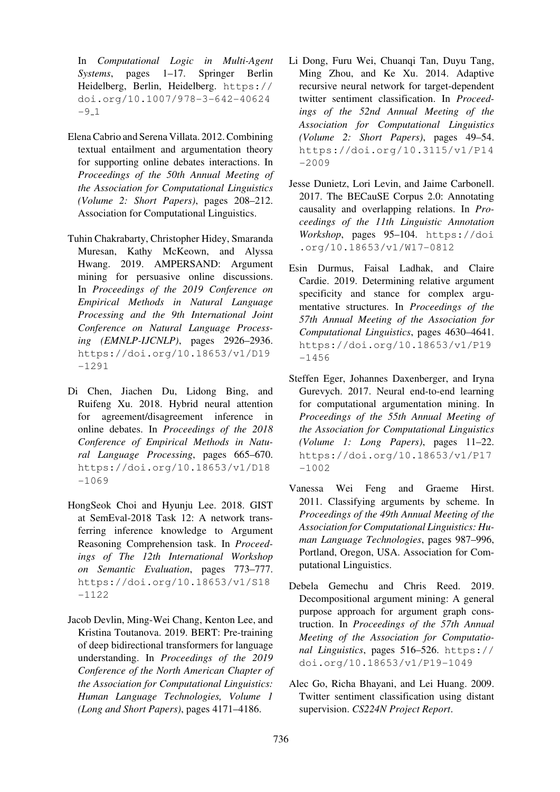In *Computational Logic in Multi-Agent Systems*, pages 1–17. Springer Berlin Heidelberg, Berlin, Heidelberg. https:// doi.org/10.1007/978-3-642-40624  $-9 - 1$ 

- <span id="page-15-14"></span><span id="page-15-3"></span>Elena Cabrio and Serena Villata. 201[2.](https://doi.org/10.1007/978-3-642-40624-9_1) [Combining](https://doi.org/10.1007/978-3-642-40624-9_1) [textual entailment and argumentation theory](https://doi.org/10.1007/978-3-642-40624-9_1) [for](https://doi.org/10.1007/978-3-642-40624-9_1) [su](https://doi.org/10.1007/978-3-642-40624-9_1)pporting online debates interactions. In *Proceedings of the 50th Annual Meeting of the Association for Computational Linguistics (Volume 2: Short Papers)*, pages 208–212. Association for Computational Linguistics.
- <span id="page-15-5"></span>Tuhin Chakrabarty, Christopher Hidey, Smaranda Muresan, Kathy McKeown, and Alyssa Hwang. 2019. AMPERSAND: Argument mining for persuasive online discussions. In *Proceedings of the 2019 Conference on Empirical Methods in Natural Language Processing and the 9th International Joint Conference on Natural Language Processing (EMNLP-IJCNLP)*, pages 2926–2936. https://doi.org/10.18653/v1/D19 -1291
- <span id="page-15-9"></span><span id="page-15-1"></span>Di Chen, Jiachen Du, Lidong Bing, and [Ruifeng](https://doi.org/10.18653/v1/D19-1291) [Xu.](https://doi.org/10.18653/v1/D19-1291) [2018.](https://doi.org/10.18653/v1/D19-1291) [Hybrid](https://doi.org/10.18653/v1/D19-1291) [neural](https://doi.org/10.18653/v1/D19-1291) [attention](https://doi.org/10.18653/v1/D19-1291) [for](https://doi.org/10.18653/v1/D19-1291) [ag](https://doi.org/10.18653/v1/D19-1291)reement/disagreement inference in online debates. In *Proceedings of the 2018 Conference of Empirical Methods in Natural Language Processing*, pages 665–670. https://doi.org/10.18653/v1/D18 -1069
- <span id="page-15-2"></span>HongSeok Choi and Hyunju Lee. 2018. GIST [at SemEval-2018 Task 12: A network trans](https://doi.org/10.18653/v1/D18-1069)[ferring](https://doi.org/10.18653/v1/D18-1069) inference knowledge to Argument Reasoning Comprehension task. In *Proceedings of The 12th International Workshop on Semantic Evaluation*, pages 773–777. https://doi.org/10.18653/v1/S18 -1122
- <span id="page-15-11"></span>Jacob Devlin, Ming-Wei Chang, Kenton Lee, and [Kristina](https://doi.org/10.18653/v1/S18-1122) [Toutanova.](https://doi.org/10.18653/v1/S18-1122) [2019.](https://doi.org/10.18653/v1/S18-1122) [BERT:](https://doi.org/10.18653/v1/S18-1122) [Pre-training](https://doi.org/10.18653/v1/S18-1122) [of](https://doi.org/10.18653/v1/S18-1122) [deep](https://doi.org/10.18653/v1/S18-1122) bidirectional transformers for language understanding. In *Proceedings of the 2019 Conference of the North American Chapter of the Association for Computational Linguistics: Human Language Technologies, Volume 1 (Long and Short Papers)*, pages 4171–4186.
- <span id="page-15-12"></span>Li Dong, Furu Wei, Chuanqi Tan, Duyu Tang, Ming Zhou, and Ke Xu. 2014. Adaptive recursive neural network for target-dependent twitter sentiment classification. In *Proceedings of the 52nd Annual Meeting of the Association for Computational Linguistics (Volume 2: Short Papers)*, pages 49–54. https://doi.org/10.3115/v1/P14 -2009
- Jesse Dunietz, Lori Levin, and Jaime Carbonell. [2017. The BECauSE Corpus 2.0: Annotating](https://doi.org/10.3115/v1/P14-2009) [causality](https://doi.org/10.3115/v1/P14-2009) and overlapping relations. In *Proceedings of the 11th Linguistic Annotation Workshop*, pages 95–104. https://doi .org/10.18653/v1/W17-0812
- <span id="page-15-13"></span><span id="page-15-7"></span><span id="page-15-6"></span>Esin Durmus, Faisal Ladhak, and Claire Cardie. 2019. Determining r[elative argument](https://doi.org/10.18653/v1/W17-0812) [specificity and stance for comple](https://doi.org/10.18653/v1/W17-0812)x argumentative structures. In *Proceedings of the 57th Annual Meeting of the Association for Computational Linguistics*, pages 4630–4641. https://doi.org/10.18653/v1/P19 -1456
- <span id="page-15-8"></span>Steffen Eger, Johannes Daxenberger, and Iryna [Gurevych. 2017. Neural end-to-end learning](https://doi.org/10.18653/v1/P19-1456) [for com](https://doi.org/10.18653/v1/P19-1456)putational argumentation mining. In *Proceedings of the 55th Annual Meeting of the Association for Computational Linguistics (Volume 1: Long Papers)*, pages 11–22. https://doi.org/10.18653/v1/P17 -1002
- <span id="page-15-10"></span><span id="page-15-0"></span>Vanessa Wei Feng and Graeme Hirst. [2011. Classifying arguments by scheme. In](https://doi.org/10.18653/v1/P17-1002) *[Proceed](https://doi.org/10.18653/v1/P17-1002)ings of the 49th Annual Meeting of the Association for Computational Linguistics: Human Language Technologies*, pages 987–996, Portland, Oregon, USA. Association for Computational Linguistics.
- <span id="page-15-4"></span>Debela Gemechu and Chris Reed. 2019. Decompositional argument mining: A general purpose approach for argument graph construction. In *Proceedings of the 57th Annual Meeting of the Association for Computational Linguistics*, pages 516–526. https:// doi.org/10.18653/v1/P19-1049
- Alec Go, Richa Bhayani, and Lei Huang. 2009. Twitter sentiment classification [using distant](https://doi.org/10.18653/v1/P19-1049) supervision. *[CS224N Project Report](https://doi.org/10.18653/v1/P19-1049)*.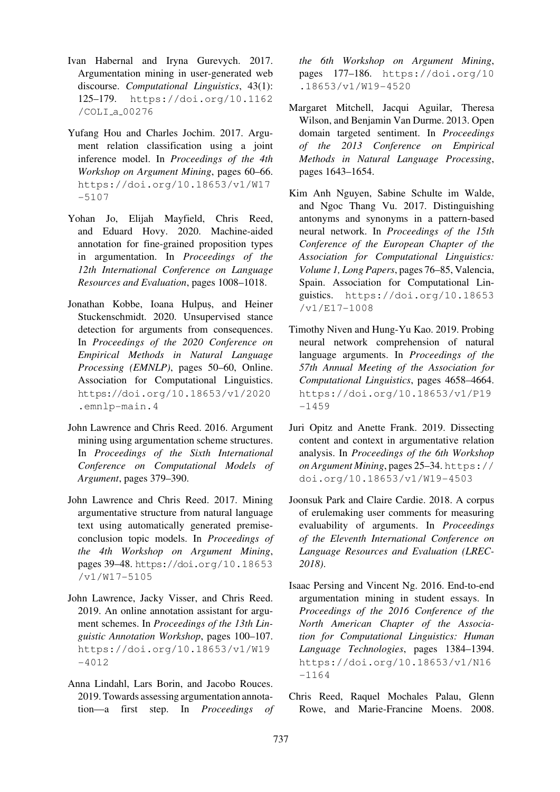- Ivan Habernal and Iryna Gurevych. 2017. Argumentation mining in user-generated web discourse. *Computational Linguistics*, 43(1): 125–179. https://doi.org/10.1162 /COLI a 00276
- <span id="page-16-6"></span>Yufang Hou and Charles Jochim. 2017. Argument relati[on classification using a joint](https://doi.org/10.1162/COLI_a_00276) [inference model.](https://doi.org/10.1162/COLI_a_00276) In *Proceedings of the 4th Workshop on Argument Mining*, pages 60–66. https://doi.org/10.18653/v1/W17  $-5107$
- <span id="page-16-4"></span>Yohan Jo, Elijah Mayfield, Chris Reed, [and Eduard Hovy. 2020. Machine-aided](https://doi.org/10.18653/v1/W17-5107) [annotati](https://doi.org/10.18653/v1/W17-5107)on for fine-grained proposition types in argumentation. In *Proceedings of the 12th International Conference on Language Resources and Evaluation*, pages 1008–1018.
- <span id="page-16-12"></span><span id="page-16-5"></span>Jonathan Kobbe, Ioana Hulpus, and Heiner Stuckenschmidt. 2020. Unsupervised stance detection for arguments from consequences. In *Proceedings of the 2020 Conference on Empirical Methods in Natural Language Processing (EMNLP)*, pages 50–60, Online. Association for Computational Linguistics. https://doi.org/10.18653/v1/2020 .emnlp-main.4
- John Lawrence and Chris Reed. 2016. Argument [mining using argumentation scheme structures.](https://doi.org/10.18653/v1/2020.emnlp-main.4) In *[Proceedings of](https://doi.org/10.18653/v1/2020.emnlp-main.4) the Sixth International Conference on Computational Models of Argument*, pages 379–390.
- <span id="page-16-3"></span><span id="page-16-1"></span>John Lawrence and Chris Reed. 2017. Mining argumentative structure from natural language text using automatically generated premiseconclusion topic models. In *Proceedings of the 4th Workshop on Argument Mining*, pages 39–48. https://doi.org/10.18653 /v1/W17-5105
- John Lawrence, Jacky Visser, and Chris Reed. 2019. An onl[ine annotation assistant for argu](https://doi.org/10.18653/v1/W17-5105)[ment schemes. In](https://doi.org/10.18653/v1/W17-5105) *Proceedings of the 13th Linguistic Annotation Workshop*, pages 100–107. https://doi.org/10.18653/v1/W19 -4012
- <span id="page-16-10"></span><span id="page-16-9"></span>Anna Lindahl, Lars Borin, and Jacobo Rouces. [2019. Towards assessing argumentation annota](https://doi.org/10.18653/v1/W19-4012)[tion—a](https://doi.org/10.18653/v1/W19-4012) first step. In *Proceedings of*

*the 6th Workshop on Argument Mining*, pages 177–186. https://doi.org/10 .18653/v1/W19-4520

- Margaret Mitchell, Jacqui Aguilar, Theresa Wilson, and Benja[min Van Durme. 2013. Open](https://doi.org/10.18653/v1/W19-4520) [domain targeted sentimen](https://doi.org/10.18653/v1/W19-4520)t. In *Proceedings of the 2013 Conference on Empirical Methods in Natural Language Processing*, pages 1643–1654.
- <span id="page-16-15"></span><span id="page-16-14"></span>Kim Anh Nguyen, Sabine Schulte im Walde, and Ngoc Thang Vu. 2017. Distinguishing antonyms and synonyms in a pattern-based neural network. In *Proceedings of the 15th Conference of the European Chapter of the Association for Computational Linguistics: Volume 1, Long Papers*, pages 76–85, Valencia, Spain. Association for Computational Linguistics. https://doi.org/10.18653 /v1/E17-1008
- <span id="page-16-0"></span>Timothy Niven and Hung-Yu Kao. 2019. Probing neural ne[twork comprehension of natural](https://doi.org/10.18653/v1/E17-1008) [language argumen](https://doi.org/10.18653/v1/E17-1008)ts. In *Proceedings of the 57th Annual Meeting of the Association for Computational Linguistics*, pages 4658–4664. https://doi.org/10.18653/v1/P19 -1459
- <span id="page-16-8"></span>Juri Opitz and Anette Frank. 2019. Dissecting [content and context in argumentative relation](https://doi.org/10.18653/v1/P19-1459) [analysis](https://doi.org/10.18653/v1/P19-1459). In *Proceedings of the 6th Workshop on Argument Mining*, pages 25–34. https:// doi.org/10.18653/v1/W19-4503
- <span id="page-16-2"></span>Joonsuk Park and Claire Cardie. 2018. A corpus of erulemaking user comments fo[r measuring](https://doi.org/10.18653/v1/W19-4503) [evaluability of arguments. In](https://doi.org/10.18653/v1/W19-4503) *Proceedings of the Eleventh International Conference on Language Resources and Evaluation (LREC-2018)*.
- <span id="page-16-13"></span><span id="page-16-7"></span>Isaac Persing and Vincent Ng. 2016. End-to-end argumentation mining in student essays. In *Proceedings of the 2016 Conference of the North American Chapter of the Association for Computational Linguistics: Human Language Technologies*, pages 1384–1394. https://doi.org/10.18653/v1/N16 -1164
- <span id="page-16-11"></span>Chris Reed, Raquel Mochales Palau, Glenn [Rowe, and Marie-Francine Moens. 2008.](https://doi.org/10.18653/v1/N16-1164)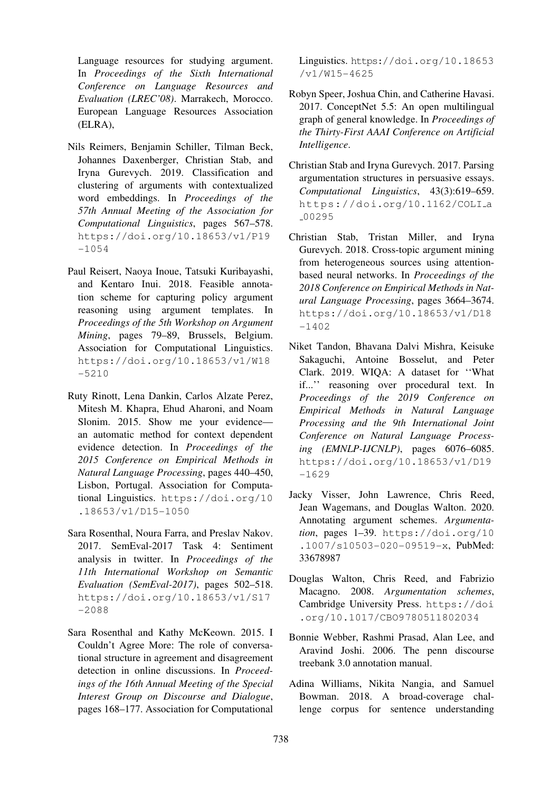Language resources for studying argument. In *Proceedings of the Sixth International Conference on Language Resources and Evaluation (LREC'08)*. Marrakech, Morocco. European Language Resources Association (ELRA),

- <span id="page-17-13"></span>Nils Reimers, Benjamin Schiller, Tilman Beck, Johannes Daxenberger, Christian Stab, and Iryna Gurevych. 2019. Classification and clustering of arguments with contextualized word embeddings. In *Proceedings of the 57th Annual Meeting of the Association for Computational Linguistics*, pages 567–578. https://doi.org/10.18653/v1/P19 -1054
- <span id="page-17-7"></span>Paul Reisert, Naoya Inoue, Tatsuki Kuribayashi, [and Kentaro Inui. 2018. Feasible annota](https://doi.org/10.18653/v1/P19-1054)[tion sch](https://doi.org/10.18653/v1/P19-1054)eme for capturing policy argument reasoning using argument templates. In *Proceedings of the 5th Workshop on Argument Mining*, pages 79–89, Brussels, Belgium. Association for Computational Linguistics. https://doi.org/10.18653/v1/W18 -5210
- <span id="page-17-5"></span>Ruty Rinott, Lena Dankin, Carlos Alzate Perez, [Mitesh M. Khapra, Ehud Aharoni, and Noam](https://doi.org/10.18653/v1/W18-5210) [Slonim.](https://doi.org/10.18653/v1/W18-5210) 2015. Show me your evidence an automatic method for context dependent evidence detection. In *Proceedings of the 2015 Conference on Empirical Methods in Natural Language Processing*, pages 440–450, Lisbon, Portugal. Association for Computational Linguistics. https://doi.org/10 .18653/v1/D15-1050
- <span id="page-17-9"></span>Sara Rosenthal, Noura Farra, and Preslav Nakov. 2017. SemEval-2[017 Task 4: Sentiment](https://doi.org/10.18653/v1/D15-1050) [analysis in twitter. In](https://doi.org/10.18653/v1/D15-1050) *Proceedings of the 11th International Workshop on Semantic Evaluation (SemEval-2017)*, pages 502–518. https://doi.org/10.18653/v1/S17 -2088
- Sara Rosenthal and Kathy McKeown. 2015. I [Couldn't Agree More: The role of conversa](https://doi.org/10.18653/v1/S17-2088)[tional st](https://doi.org/10.18653/v1/S17-2088)ructure in agreement and disagreement detection in online discussions. In *Proceedings of the 16th Annual Meeting of the Special Interest Group on Discourse and Dialogue*, pages 168–177. Association for Computational

Linguistics. https://doi.org/10.18653 /v1/W15-4625

- Robyn Speer, Joshua Chin, and Catherine Havasi. 2017. Conc[eptNet 5.5: An open multilingual](https://doi.org/10.18653/v1/W15-4625) [graph of general k](https://doi.org/10.18653/v1/W15-4625)nowledge. In *Proceedings of the Thirty-First AAAI Conference on Artificial Intelligence*.
- <span id="page-17-12"></span>Christian Stab and Iryna Gurevych. 2017. Parsing argumentation structures in persuasive essays. *Computational Linguistics*, 43(3):619–659. https://doi.org/10.1162/COLI a 00295
- <span id="page-17-4"></span><span id="page-17-3"></span><span id="page-17-2"></span>Christian Stab, Tristan Miller, and Iryna [Gurevych. 2018. Cross-topic argument mining](https://doi.org/10.1162/COLI_a_00295) [from het](https://doi.org/10.1162/COLI_a_00295)erogeneous sources using attentionbased neural networks. In *Proceedings of the 2018 Conference on Empirical Methods in Natural Language Processing*, pages 3664–3674. https://doi.org/10.18653/v1/D18  $-1402$
- <span id="page-17-11"></span>Niket Tandon, Bhavana Dalvi Mishra, Keisuke [Sakaguchi, Antoine Bosselut, and Peter](https://doi.org/10.18653/v1/D18-1402) [Clark.](https://doi.org/10.18653/v1/D18-1402) 2019. WIQA: A dataset for ''What if...'' reasoning over procedural text. In *Proceedings of the 2019 Conference on Empirical Methods in Natural Language Processing and the 9th International Joint Conference on Natural Language Processing (EMNLP-IJCNLP)*, pages 6076–6085. https://doi.org/10.18653/v1/D19 -1629
- Jacky Visser, John Lawrence, Chris Reed, [Jean Wagemans, and Douglas Walton. 2020.](https://doi.org/10.18653/v1/D19-1629) [Annotat](https://doi.org/10.18653/v1/D19-1629)ing argument schemes. *Argumentation*, pages 1–39. https://doi.org/10 .1007/s10503-020-09519-x, PubMed: 33678987
- <span id="page-17-6"></span>Douglas Walton, C[hris Reed, and Fabrizio](https://doi.org/10.1007/s10503-020-09519-x) [Macagno. 2008.](https://doi.org/10.1007/s10503-020-09519-x) *Argumentation schemes*, [Cambridge](https://pubmed.ncbi.nlm.nih.gov/33678987) University Press. https://doi .org/10.1017/CBO9780511802034
- <span id="page-17-1"></span><span id="page-17-0"></span>Bonnie Webber, Rashmi Prasad, Alan Lee, and Aravind Joshi. 2006. The [penn discourse](https://doi.org/10.1017/CBO9780511802034) [treebank 3.0 annotation manual.](https://doi.org/10.1017/CBO9780511802034)
- <span id="page-17-10"></span><span id="page-17-8"></span>Adina Williams, Nikita Nangia, and Samuel Bowman. 2018. A broad-coverage challenge corpus for sentence understanding